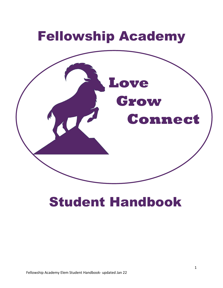

# Student Handbook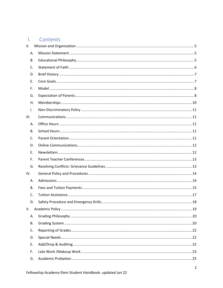#### $\mathbf{L}$ Contents

| II.       |  |
|-----------|--|
| Α.        |  |
| В.        |  |
| C.        |  |
| D.        |  |
| Ε.        |  |
| F.        |  |
| G.        |  |
| Η.        |  |
| Ι.        |  |
| Ш.        |  |
| А.        |  |
| В.        |  |
| C.        |  |
| D.        |  |
| Е.        |  |
| F.        |  |
| G.        |  |
| IV.       |  |
| А.        |  |
| В.        |  |
| C.        |  |
| D.        |  |
| V.        |  |
| А.        |  |
| <b>B.</b> |  |
| C.        |  |
| D.        |  |
| Ε.        |  |
| F.        |  |
| G.        |  |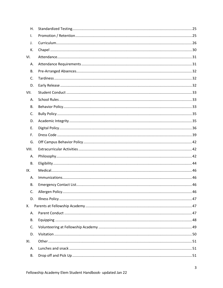| Η.    |  |
|-------|--|
| I.    |  |
| J.    |  |
| К.    |  |
| VI.   |  |
| А.    |  |
| В.    |  |
| C.    |  |
| D.    |  |
| VII.  |  |
| А.    |  |
| В.    |  |
| C.    |  |
| D.    |  |
| Е.    |  |
| F.    |  |
| G.    |  |
| VIII. |  |
| А.    |  |
| В.    |  |
| IX.   |  |
| Α.    |  |
| В.    |  |
| C.    |  |
| D.    |  |
| Х.    |  |
| А.    |  |
| В.    |  |
| C.    |  |
| D.    |  |
| XI.   |  |
| А.    |  |
| В.    |  |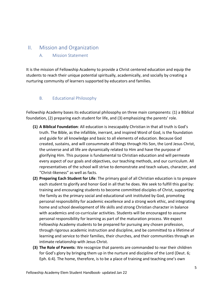# <span id="page-4-1"></span><span id="page-4-0"></span>II. Mission and Organization

# A. Mission Statement

It is the mission of Fellowship Academy to provide a Christ centered education and equip the students to reach their unique potential spiritually, academically, and socially by creating a nurturing community of learners supported by educators and families.

# <span id="page-4-2"></span>B. Educational Philosophy

Fellowship Academy bases its educational philosophy on three main components: (1) a Biblical foundation, (2) preparing each student for life, and (3) emphasizing the parents' role.

- **(1) A Biblical Foundation**: All education is inescapably Christian in that all truth is God's truth. The Bible, as the infallible, inerrant, and inspired Word of God, is the foundation and guide for all knowledge and basic to all elements of education. Because God created, sustains, and will consummate all things through His Son, the Lord Jesus Christ, the universe and all life are dynamically related to Him and have the purpose of glorifying Him. This purpose is fundamental to Christian education and will permeate every aspect of our goals and objectives, our teaching methods, and our curriculum. All representatives of the school will strive to demonstrate and teach values, character, and "Christ-likeness" as well as facts.
- **(2) Preparing Each Student for Life**: The primary goal of all Christian education is to prepare each student to glorify and honor God in all that he does. We seek to fulfill this goal by: training and encouraging students to become committed disciples of Christ, supporting the family as the primary social and educational unit instituted by God, promoting personal responsibility for academic excellence and a strong work ethic, and integrating home and school development of life skills and strong Christian character in balance with academics and co-curricular activities. Students will be encouraged to assume personal responsibility for learning as part of the maturation process. We expect Fellowship Academy students to be prepared for pursuing any chosen profession, through rigorous academic instruction and discipline, and be committed to a lifetime of learning and service to their families, their churches, and their communities through an intimate relationship with Jesus Christ.
- **(3) The Role of Parents**: We recognize that parents are commanded to rear their children for God's glory by bringing them up in the nurture and discipline of the Lord (Deut. 6; Eph. 6:4). The home, therefore, is to be a place of training and teaching one's own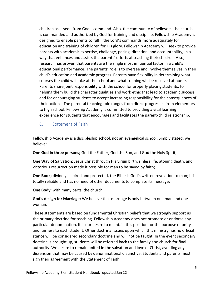children as is seen from God's command. Also, the community of believers, the church, is commanded and authorized by God for training and discipline. Fellowship Academy is designed to enable parents to fulfill the Lord's commands more adequately for education and training of children for His glory. Fellowship Academy will seek to provide parents with academic expertise, challenge, pacing, direction, and accountability, in a way that enhances and assists the parents' efforts at teaching their children. Also, research has proven that parents are the single most influential factor in a child's educational performance. The parents' role is to oversee and involve themselves in their child's education and academic progress. Parents have flexibility in determining what courses the child will take at the school and what training will be received at home. Parents share joint responsibility with the school for properly placing students, for helping them build the character qualities and work ethic that lead to academic success, and for encouraging students to accept increasing responsibility for the consequences of their actions. The parental teaching role ranges from direct progresses from elementary to high school. Fellowship Academy is committed to providing a vital learning experience for students that encourages and facilitates the parent/child relationship.

<span id="page-5-0"></span>C. Statement of Faith

Fellowship Academy is a discipleship school, not an evangelical school. Simply stated, we believe:

**One God in three persons;** God the Father, God the Son, and God the Holy Spirit;

**One Way of Salvation;** Jesus Christ through His virgin birth, sinless life, atoning death, and victorious resurrection made it possible for man to be saved by faith;

**One Book;** divinely inspired and protected, the Bible is God's written revelation to man; it is totally reliable and has no need of other documents to complete its message;

**One Body;** with many parts, the church,

**God's design for Marriage;** We believe that marriage is only between one man and one woman.

These statements are based on fundamental Christian beliefs that we strongly support as the primary doctrine for teaching. Fellowship Academy does not promote or endorse any particular denomination. It is our desire to maintain this position for the purpose of unity and fairness to each student. Other doctrinal issues upon which this ministry has no official stance will be considered secondary doctrine and will not be taught. In the event secondary doctrine is brought up, students will be referred back to the family and church for final authority. We desire to remain united in the salvation and love of Christ, avoiding any dissension that may be caused by denominational distinctive. Students and parents must sign their agreement with the Statement of Faith.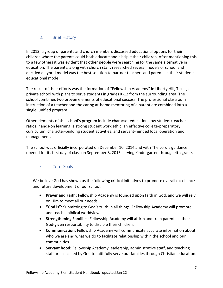# <span id="page-6-0"></span>D. Brief History

In 2013, a group of parents and church members discussed educational options for their children where the parents could both educate and disciple their children. After mentioning this to a few others it was evident that other people were searching for the same alternative in education. The parents, along with church staff, researched several models of school and decided a hybrid model was the best solution to partner teachers and parents in their students educational model.

The result of their efforts was the formation of "Fellowship Academy" in Liberty Hill, Texas, a private school with plans to serve students in grades K-12 from the surrounding area. The school combines two proven elements of educational success. The professional classroom instruction of a teacher and the caring at-home mentoring of a parent are combined into a single, unified program.

Other elements of the school's program include character education, low student/teacher ratios, hands-on learning, a strong student work ethic, an effective college-preparatory curriculum, character-building student activities, and servant-minded local operation and management.

The school was officially incorporated on December 10, 2014 and with The Lord's guidance opened for its first day of class on September 8, 2015 serving Kindergarten through 4th grade.

# <span id="page-6-1"></span>E. Core Goals

We believe God has shown us the following critical initiatives to promote overall excellence and future development of our school.

- **Prayer and Faith:** Fellowship Academy is founded upon faith in God, and we will rely on Him to meet all our needs.
- **"God is":** Submitting to God's truth in all things, Fellowship Academy will promote and teach a biblical worldview.
- **Strengthening Families:** Fellowship Academy will affirm and train parents in their God-given responsibility to disciple their children.
- **Communication:** Fellowship Academy will communicate accurate information about who we are and what we do to facilitate relationship within the school and our communities.
- **Servant hood:** Fellowship Academy leadership, administrative staff, and teaching staff are all called by God to faithfully serve our families through Christian education.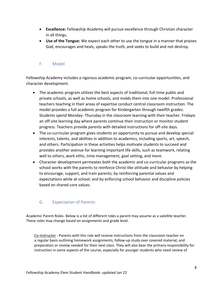- **Excellence:** Fellowship Academy will pursue excellence through Christian character in all things.
- **Use of the Tongue:** We expect each other to use the tongue in a manner that praises God, encourages and heals, speaks the truth, and seeks to build and not destroy.

# <span id="page-7-0"></span>F. Model

Fellowship Academy includes a rigorous academic program, co-curricular opportunities, and character development.

- The academic program utilizes the best aspects of traditional, full-time public and private schools, as well as home schools, and molds them into one model. Professional teachers teaching in their areas of expertise conduct central classroom instruction. The model provides a full academic program for Kindergarten through twelfth grades. Students spend Monday- Thursday in the classroom learning with their teacher. Fridayis an off-site learning day where parents continue their instruction or monitor student progress. Teachers provide parents with detailed instructions for off-site days.
- The co-curricular program gives students an opportunity to pursue and develop special interests, talents, and abilities in addition to academics, including sports, art, speech, and others. Participation in these activities helps motivate students to succeed and provides another avenue for learning important life skills, such as teamwork, relating well to others, work ethic, time management, goal setting, and more.
- Character development permeates both the academic and co-curricular programs as the school works with the parents to reinforce Christ-like attitude and behavior by helping to encourage, support, and train parents; by reinforcing parental values and expectations while at school; and by enforcing school behavior and discipline policies based on shared core values.

# <span id="page-7-1"></span>G. Expectation of Parents

Academic Parent Roles- Below is a list of different roles a parent may assume as a satellite teacher. These roles may change based on assignments and grade level.

Co-Instructor - Parents with this role will receive instructions from the classroom teacher on a regular basis outlining homework assignments, follow-up study over covered material, and preparation or review needed for their next class. They will also bear the primary responsibility for instruction in some aspects of the course, especially for younger students who need review of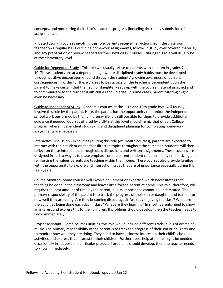concepts, and monitoring their child's academic progress (including the timely submission of all assignments).

**Private Tutor - In courses involving this role, parents receive instructions from the classroom** teacher on a regular basis outlining homework assignments, follow-up study over covered material, and any preparation or review needed for their next class. Courses utilizing this role will usually be at the elementary level.

Guide for Dependent Study - This role will usually relate to parents with children in grades 7- 10. These students are at a dependent age where disciplined study habits must be developed through positive encouragement and through the students' growing awareness of personal consequences. In order for these classes to be successful, the teacher is dependent upon the parent to make certain that their son or daughter keeps up with the course material assigned and to communicate to the teacher if difficulties should arise. In some cases, parent tutoring might even be necessary.

Guide to Independent Study - Academic courses at the 11th and 12th grade level will usually involve this role by the parent. Here, the parent has the opportunity to monitor the independent school work performed by their children while it is still possible for them to provide additional guidance if needed. Courses offered by a UMS at this level should mimic that of a Jr. College program where independent study skills and disciplined planning for completing homework assignments are necessary.

Interactive Discussion - In courses utilizing this role (ex. Health courses), parents are expected to interact with their student on teacher-directed topics throughout the semester. Students will then reflect on those interactions through class discussions and written assignments. These courses are designed in such a way as to place emphasis on the parent-student relationship by emphasizing and reinforcing the values parents are teaching within their home. These courses also provide families with the opportunity to explore and interact on issues that are of importance especially during the teen years.

Course Monitor - Some courses will involve equipment or expertise which necessitates that teaching be done in the classroom and leaves little for the parent at home. This role, therefore, will require the least amount of time by the parent, but its importance cannot be understated. The primary responsibility of the parent is to track the progress of their son or daughter and to monitor how well they are doing. Are they becoming discouraged? Are they enjoying the class? What are the activities being done each day in class? What are they learning? In short, parents need to show an interest and express this to their children. If problems should develop, then the teacher needs to know immediately.

Project Assistant - Some courses utilizing this role would include different grade levels of drama or music. The primary responsibility of the parent is to track the progress of their son or daughter and to monitor how well they are doing. They need to have a sincere interest in their child's class activities and express that interest to their children. Furthermore, help at home might be needed occasionally in support of a particular project. If problems should develop, then the teacher needs to know immediately.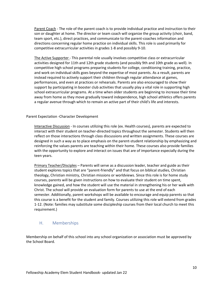Parent Coach - The role of the parent coach is to provide individual practice and instruction to their son or daughter at home. The director or team coach will organize the group activity (choir, band, team sport, etc.), direct practices, and communicate to the parent-coaches information and directions concerning regular home practice on individual skills. This role is used primarily for competitive extracurricular activities in grades 1-8 and possibly 9-10.

The Active Supporter - This parental role usually involves competitive class or extracurricular activities designed for 11th and 12th grade students (and possibly 9th and 10th grade as well). In competitive high school programs preparing students for college, conditioning training, practice, and work on individual skills goes beyond the expertise of most parents. As a result, parents are instead required to actively support their children through regular attendance at games, performances, and even at practices or rehearsals. Parents are also encouraged to show their support by participating in booster club activities that usually play a vital role in supporting high school extracurricular programs. At a time when older students are beginning to increase their time away from home as they move gradually toward independence, high school athletics offers parents a regular avenue through which to remain an active part of their child's life and interests.

#### Parent Expectation -Character Development

Interactive Discussion - In courses utilizing this role (ex. Health courses), parents are expected to interact with their student on teacher-directed topics throughout the semester. Students will then reflect on those interactions through class discussions and written assignments. These courses are designed in such a way as to place emphasis on the parent-student relationship by emphasizing and reinforcing the values parents are teaching within their home. These courses also provide families with the opportunity to explore and interact on issues that are of importance especially during the teen years.

Primary Teacher/Disciples – Parents will serve as a discussion leader, teacher and guide as their student explores topics that are "parent-friendly" and that focus on biblical studies, Christian theology, Christian ministry, Christian missions or worldviews. Since this role is for home study courses, parents will be given instructions on how to evaluate their student on time spent, knowledge gained, and how the student will use the material in strengthening his or her walk with Christ. The school will provide an evaluation form for parents to use at the end of each semester. Additionally, parent workshops will be available to encourage and equip parents so that this course is a benefit for the student and family. Courses utilizing this role will extend from grades 1-12. (Note: families may substitute some discipleship courses from their local church to meet this requirement.)

### <span id="page-9-0"></span>H. Memberships

Membership on behalf of this school into any school organization or association must be approved by the School Board.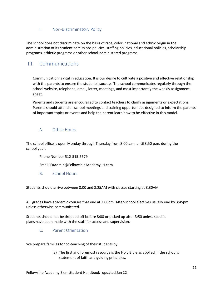# <span id="page-10-0"></span>I. Non-Discriminatory Policy

The school does not discriminate on the basis of race, color, national and ethnic origin in the administration of its student admissions policies, staffing policies, educational policies, scholarship programs, athletic programs or other school-administered programs.

# <span id="page-10-1"></span>III. Communications

Communication is vital in education. It is our desire to cultivate a positive and effective relationship with the parents to ensure the students' success. The school communicates regularly through the school website, telephone, email, letter, meetings, and most importantly the weekly assignment sheet.

Parents and students are encouraged to contact teachers to clarify assignments or expectations. Parents should attend all school meetings and training opportunities designed to inform the parents of important topics or events and help the parent learn how to be effective in this model.

# <span id="page-10-2"></span>A. Office Hours

The school office is open Monday through Thursday from 8:00 a.m. until 3:50 p.m. during the school year.

Phone Number 512-515-5579

Email: FaAdmin@FellowshipAcademyLH.com

<span id="page-10-3"></span>B. School Hours

Students should arrive between 8:00 and 8:25AM with classes starting at 8:30AM.

All grades have academic courses that end at 2:00pm. After-school electives usually end by 3:45pm unless otherwise communicated.

<span id="page-10-4"></span>Students should not be dropped off before 8:00 or picked up after 3:50 unless specific plans have been made with the staff for access and supervision.

### C. Parent Orientation

We prepare families for co-teaching of their students by:

(a) The first and foremost resource is the Holy Bible as applied in the school's statement of faith and guiding principles.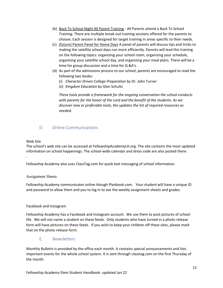- (b) Back To School Night All Parent Training All Parents attend a Back To School Training: There are multiple break-out training sessions offered for the parents to choose. Each session is designed for target training in areas specific to their needs.
- (c) (future) Parent Panel for Home Days A panel of parents will discuss tips and tricks to making the satellite school days run more efficiently. Parents will lead this training on the following topics: organizing your school room, organizing your schedule, organizing your satellite school day, and organizing your meal plans. There will be a time for group discussion and a time for Q &A's.
- (d) As part of the admissions process to our school, parents are encouraged to read the following two books:
	- (i) *Character Driven College Preparation* by Dr. John Turner
	- (ii) *Kingdom Education* by Glen Schultz

*These tools provide a framework for the ongoing conversation the school conducts with parents for the honor of the Lord and the benefit of the students. As we discover new or preferable tools, the updates the list of required resources as needed.*

# <span id="page-11-0"></span>D. Online Communications

### Web Site

.

The school's web site can be accessed at FellowshipAcademyLH.org. The site contains the most updated information on school happenings. The school-wide calendar and dress code are also posted there.

Fellowship Academy also uses ClassTag.com for quick text messaging of school information.

### Assignment Sheets

Fellowship Academy communicates online though Planbook.com. Your student will have a unique ID and password to allow them and you to log in to see the weekly assignment sheets and grades.

### Facebook and Instagram

Fellowship Academy has a Facebook and Instagram account. We use them to post pictures of school life. We will not name a student on these feeds. Only students who have turned in a photo release form will have pictures on these feeds. If you wish to keep your children off these sites, please mark that on the photo release form.

E. Newsletters

<span id="page-11-1"></span>Monthly Bulletin is provided by the office each month. It contains special announcements and lists important events for the whole school system. It is sent through classtag.com on the first Thursday of the month.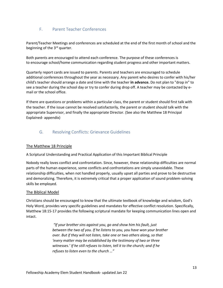# <span id="page-12-0"></span>F. Parent Teacher Conferences

Parent/Teacher Meetings and conferences are scheduled at the end of the first month of school and the beginning of the 3<sup>rd</sup> quarter.

Both parents are encouraged to attend each conference. The purpose of these conferences is to encourage school/home communication regarding student progress and other important matters.

Quarterly report cards are issued to parents. Parents and teachers are encouraged to schedule additional conferences throughout the year as necessary. Any parent who desires to confer with his/her child's teacher should arrange a date and time with the teacher **in advance.** Do not plan to "drop in" to see a teacher during the school day or try to confer during drop off. A teacher may be contacted by email or the school office.

If there are questions or problems within a particular class, the parent or student should first talk with the teacher. If the issue cannot be resolved satisfactorily, the parent or student should talk with the appropriate Supervisor, and finally the appropriate Director. (See also the Matthew 18 Principal Explained- appendix)

# <span id="page-12-1"></span>G. Resolving Conflicts: Grievance Guidelines

### The Matthew 18 Principle

A Scriptural Understanding and Practical Application of this Important Biblical Principle

Nobody really loves conflict and confrontation. Since, however, these relationship difficulties are normal parts of the human experience, some conflicts and confrontations are simply unavoidable. These relationship difficulties, when not handled properly, usually upset all parties and prove to be destructive and demoralizing. Therefore, it is extremely critical that a proper application of sound problem-solving skills be employed.

### The Biblical Model

Christians should be encouraged to know that the ultimate textbook of knowledge and wisdom, God's Holy Word, provides very specific guidelines and mandates for effective conflict resolution. Specifically, Matthew 18:15-17 provides the following scriptural mandate for keeping communication lines open and intact.

> *"If your brother sins against you, go and show him his fault, just between the two of you. If he listens to you, you have won your brother over. But if they will not listen, take one or two others along, so that 'every matter may be established by the testimony of two or three witnesses.' If he still refuses to listen, tell it to the church; and if he refuses to listen even to the church …"*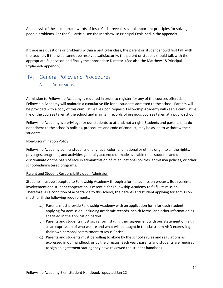An analysis of these important words of Jesus Christ reveals several important principles for solving people problems. For the full article, see the Matthew 18 Principal Explained in the appendix.

If there are questions or problems within a particular class, the parent or student should first talk with the teacher. If the issue cannot be resolved satisfactorily, the parent or student should talk with the appropriate Supervisor, and finally the appropriate Director. (See also the Matthew 18 Principal Explained- appendix)

# <span id="page-13-1"></span><span id="page-13-0"></span>IV. General Policy and Procedures

### A. Admissions

Admission to Fellowship Academy is required in order to register for any of the courses offered. Fellowship Academy will maintain a cumulative file for all students admitted to the school. Parents will be provided with a copy of this cumulative file upon request. Fellowship Academy will keep a cumulative file of the courses taken at the school and maintain records of previous courses taken at a public school.

Fellowship Academy is a privilege for our students to attend, not a right. Students and parents that do not adhere to the school's policies, procedures and code of conduct, may be asked to withdraw their students.

### Non-Discrimination Policy

Fellowship Academy admits students of any race, color, and national or ethnic origin to all the rights, privileges, programs, and activities generally accorded or made available to its students and do not discriminate on the basis of race in administration of its educational policies, admission policies, or other school-administered programs.

### Parent and Student Responsibility upon Admission

Students must be accepted to Fellowship Academy through a formal admission process. Both parental involvement and student cooperation is essential for Fellowship Academy to fulfill its mission. Therefore, as a condition of acceptance to this school, the parents and student applying for admission must fulfill the following requirements:

- a.) Parents must provide Fellowship Academy with an application form for each student applying for admission, including academic records, health forms, and other information as specified in the application packet.
- b.) Parents and students must sign a form stating their agreement with our Statement of Faith as an expression of who we are and what will be taught in the classroom AND expressing their own personal commitment to Jesus Christ.
- c.) Parents and students must be willing to abide by the school's rules and regulations as expressed in our handbook or by the director. Each year, parents and students are required to sign an agreement stating they have reviewed the student handbook.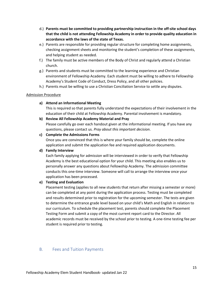- d.) **Parents must be committed to providing partnership instruction in the off-site school days that the child is not attending Fellowship Academy in order to provide quality education in accordance with the laws of the state of Texas.**
- e.) Parents are responsible for providing regular structure for completing home assignments, checking assignment sheets and monitoring the student's completion of these assignments, and helping student as needed.
- f.) The family must be active members of the Body of Christ and regularly attend a Christian church.
- g.) Parents and students must be committed to the learning experience and Christian environment of Fellowship Academy. Each student must be willing to adhere to Fellowship Academy's Student Code of Conduct, Dress Policy, and all other policies.
- h.) Parents must be willing to use a Christian Conciliation Service to settle any disputes.

#### Admission Procedure

#### **a) Attend an Informational Meeting**

This is required so that parents fully understand the expectations of their involvement in the education of their child at Fellowship Academy. Parental involvement is mandatory.

#### **b) Review All Fellowship Academy Material and Pray**

Please carefully go over each handout given at the informational meeting. If you have any questions, please contact us. *Pray about this important decision*.

#### **c) Complete the Admissions Forms**

Once you are convinced that this is where your family should be, complete the online application and submit the application fee and required application documents.

#### **d) Family Interview**

Each family applying for admission will be interviewed in order to verify that Fellowship Academy is the best educational option for your child. This meeting also enables us to personally answer any questions about Fellowship Academy. The admission committee conducts this one-time interview. Someone will call to arrange the interview once your application has been processed.

### **e) Testing and Evaluation**

Placement testing (applies to all new students that return after missing a semester or more) can be completed at any point during the application process. Testing must be completed and results determined prior to registration for the upcoming semester. The tests are given to determine the entrance grade level based on your child's Math and English in relation to our curriculum. To schedule the placement test, parents should complete the Placement Testing Form and submit a copy of the most current report card to the Director. All academic records must be received by the school prior to testing. A one-time testing fee per student is required prior to testing.

### <span id="page-14-0"></span>B. Fees and Tuition Payments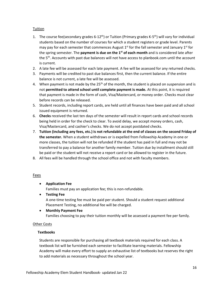### Tuition

- 1. The course fee(secondary grades 6-12<sup>th</sup>) or Tuition (Primary grades K-5<sup>th</sup>) will vary for individual students based on the number of courses for which a student registers or grade level. Parents may pay for each semester that commences August  $1<sup>st</sup>$  for the fall semester and January  $1<sup>st</sup>$  for the spring semester. The **payment is due on the 1st of each month** and is considered late after the 5<sup>th</sup>. Accounts with past due balances will not have access to planbook.com until the account is current.
- 2. A late fee will be assessed for each late payment. A fee will be assessed for any returned checks.
- 3. Payments will be credited to past due balances first, then the current balance. If the entire balance is not current, a late fee will be assessed.
- 4. When payment is not made by the  $25<sup>th</sup>$  of the month, the student is placed on suspension and is not **permitted to attend school until complete payment is made.** At this point, it is required that payment is made in the form of cash, Visa/Mastercard, or money order. Checks must clear before records can be released.
- 5. Student records, including report cards, are held until all finances have been paid and all school issued equipment is returned.
- 6. **Checks** received the last ten days of the semester will result in report cards and school records being held in order for the check to clear. To avoid delay, we accept money orders, cash, Visa/Mastercard, and cashier's checks. We do not accept postdated checks.
- 7. **Tuition (including any fees, etc.) is not refundable at the end of classes on the second Friday of the semester.** When a student withdraws or is expelled from Fellowship Academy in one or more classes, the tuition will not be refunded if the student has paid in full and may not be transferred to pay a balance for another family member. Tuition due by installment should still be paid or the student will not receive a report card or be allowed to register in the future.
- 8. All fees will be handled through the school office and not with faculty members.

### Fees

### • **Application Fee**

Families must pay an application fee; this is non-refundable.

• **Testing Fee**

A one-time testing fee must be paid per student. Should a student request additional Placement Testing, no additional fee will be charged.

• **Monthly Payment Fee** Families choosing to pay their tuition monthly will be assessed a payment fee per family.

### Other Costs

### **Textbooks**

Students are responsible for purchasing all textbook materials required for each class. A textbook list will be furnished each semester to facilitate learning materials. Fellowship Academy will make every effort to supply an exhaustive list of textbooks but reserves the right to add materials as necessary throughout the school year.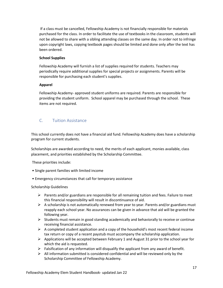If a class must be cancelled, Fellowship Academy is not financially responsible for materials purchased for the class. In order to facilitate the use of textbooks in the classroom, students will not be allowed to share with a sibling attending classes on the same day. In order not to infringe upon copyright laws, copying textbook pages should be limited and done only after the text has been ordered.

### **School Supplies**

Fellowship Academy will furnish a list of supplies required for students. Teachers may periodically require additional supplies for special projects or assignments. Parents will be responsible for purchasing each student's supplies.

### **Apparel**

Fellowship Academy- approved student uniforms are required. Parents are responsible for providing the student uniform. School apparel may be purchased through the school. These items are not required.

# <span id="page-16-0"></span>C. Tuition Assistance

This school currently does not have a financial aid fund. Fellowship Academy does have a scholarship program for current students.

Scholarships are awarded according to need, the merits of each applicant, monies available, class placement, and priorities established by the Scholarship Committee.

These priorities include:

- Single parent families with limited income
- Emergency circumstances that call for temporary assistance

### Scholarship Guidelines

- $\triangleright$  Parents and/or guardians are responsible for all remaining tuition and fees. Failure to meet this financial responsibility will result in discontinuance of aid.
- $\triangleright$  A scholarship is not automatically renewed from year to year. Parents and/or guardians must reapply each school year. No assurances can be given in advance that aid will be granted the following year.
- $\triangleright$  Students must remain in good standing academically and behaviorally to receive or continue receiving financial assistance.
- $\triangleright$  A completed student application and a copy of the household's most recent federal income tax return or copy of a recent paystub must accompany the scholarship application.
- $\triangleright$  Applications will be accepted between February 1 and August 31 prior to the school year for which the aid is requested.
- $\triangleright$  Falsification of any information will disqualify the applicant from any award of benefit.
- $\triangleright$  All information submitted is considered confidential and will be reviewed only by the Scholarship Committee of Fellowship Academy.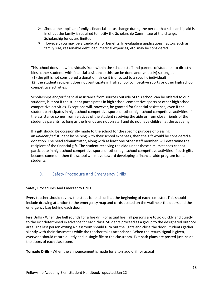- $\triangleright$  Should the applicant family's financial status change during the period that scholarship aid is in effect the family is required to notify the Scholarship Committee of the change. Scholarship funds are limited.
- ➢ However, you may be a candidate for benefits. In evaluating applications, factors such as family size, reasonable debt load, medical expenses, etc. may be considered.

This school does allow individuals from within the school (staff and parents of students) to directly bless other students with financial assistance (this can be done anonymously) so long as (1) the gift is not considered a donation (since it is directed to a specific individual) (2) the student recipient does not participate in high school competitive sports or other high school competitive activities.

Scholarships and/or financial assistance from sources outside of this school can be offered to our students, but not if the student participates in high school competitive sports or other high school competitive activities. Exceptions will, however, be granted for financial assistance, even if the student participates in high school competitive sports or other high school competitive activities, if the assistance comes from relatives of the student receiving the aide or from close friends of the student's parents, so long as the friends are not on staff and do not have children at the academy.

If a gift should be occasionally made to the school for the specific purpose of blessing an *unidentified* student by helping with their school expenses, then the gift would be considered a donation. The head administrator, along with at least one other staff member, will determine the recipient of the financial gift. The student receiving the aide under these circumstances cannot participate in high school competitive sports or other high school competitive activities. If such gifts become common, then the school will move toward developing a financial aide program for its students.

# <span id="page-17-0"></span>D. Safety Procedure and Emergency Drills

### Safety Procedures And Emergency Drills

Every teacher should review the steps for each drill at the beginning of each semester. This should include drawing attention to the emergency map and cards posted on the wall near the doors and the emergency bag behind each door.

**Fire Drills** - When the bell sounds for a fire drill (or actual fire), all persons are to go quickly and quietly to the exit determined in advance for each class. Students proceed as a group to the designated outdoor area. The last person exiting a classroom should turn out the lights and close the door. Students gather silently with their classmates while the teacher takes attendance. When the return signal is given, everyone should return quietly and in single file to the classroom. Exit path plans are posted just inside the doors of each classroom.

**Tornado Drills** - When the announcement is made for a tornado drill (or actual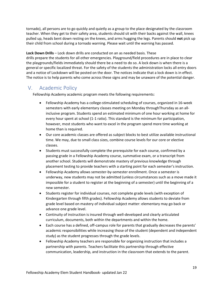tornado), all persons are to go quickly and quietly as a group to the place designated by the classroom teacher. When they get to their safety area, students should sit with their backs against the wall, knees pulled up, heads bent down resting on the knees, and arms hugging the legs. Parents should **not** pick up their child from school during a tornado warning. Please wait until the warning has passed.

**Lock Down Drills** – Lock down drills are conducted on an as needed basis. These

drills prepare the students for all other emergencies. Playground/field procedures are in place to clear the playgrounds/fields immediately should there be a need to do so. A lock down is when there is a general or specific localized threat. For the safety of the students the administration locks all entry doors and a notice of Lockdown will be posted on the door. The notices indicate that a lock down is in effect. The notice is to help parents who come across these signs and may be unaware of the potential danger.

# <span id="page-18-0"></span>V. Academic Policy

Fellowship Academy academic program meets the following requirements:

- Fellowship Academy has a college-stimulated scheduling of courses, organized in 16-week semesters with early elementary classes meeting on Monday throughThursday as an allinclusive program. Students spend an estimated minimum of one hour working at home for every hour spent at school (1-1 ratio). This standard is the minimum for participation, however, most students who want to excel in the program spend more time working at home than is required.
- Our core academic classes are offered as subject blocks to best utilize available instructional time. We may, due to small class sizes, combine course levels for our core or elective classes.
- Students must successfully complete the prerequisite for each course, confirmed by a passing grade in a Fellowship Academy course, summative exam, or a transcript from another school. Students will demonstrate mastery of previous knowledge through placement testing to provide teachers with a starting point for each semester's instruction.
- Fellowship Academy allows semester-by-semester enrollment. Once a semester is underway, new students may not be admitted (unless circumstances such as a move made it impossible for a student to register at the beginning of a semester) until the beginning of a new semester.
- Students register for individual courses, not complete grade levels (with exception of Kindergarten through fifth grades). Fellowship Academy allows students to deviate from grade level based on mastery of individual subject matter: elementary may go back or advance one grade level.
- Continuity of instruction is insured through well-developed and clearly articulated curriculum, documents, both within the departments and within the home.
- Each course has a defined, off-campus role for parents that gradually decreases the parents' academic responsibilities while increasing those of the student (dependent and independent study) as the student progresses through the grade levels.
- Fellowship Academy teachers are responsible for organizing instruction that includes a partnership with parents. Teachers facilitate this partnership through effective communication, leadership, and instruction in the classroom that extends to the parent.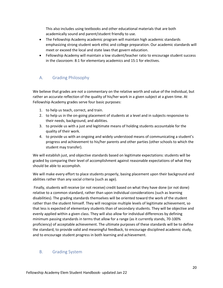This also includes using textbooks and other educational materials that are both academically sound and parent/student friendly to use.

- The Fellowship Academy academic program will maintain high academic standards emphasizing strong student work ethic and college preparation. Our academic standards will meet or exceed the local and state laws that govern education.
- Fellowship Academy will maintain a low student/teacher ratio to encourage student success in the classroom: 8:1 for elementary academics and 15:1 for electives.

# <span id="page-19-0"></span>A. Grading Philosophy

We believe that grades are not a commentary on the relative worth and value of the individual, but rather an accurate reflection of the quality of his/her work in a given subject at a given time. At Fellowship Academy grades serve four basic purposes:

- 1. to help us teach, correct, and train.
- 2. to help us in the on-going placement of students at a level and in subjects responsive to their needs, background, and abilities.
- 3. to provide us with a just and legitimate means of holding students accountable for the quality of their work.
- 4. to provide us with an ongoing and widely understood means of communicating a student's progress and achievement to his/her parents and other parties (other schools to which the student may transfer).

We will establish just, and objective standards based on legitimate expectations: students will be graded by comparing their level of accomplishment against reasonable expectations of what they should be able to accomplish.

We will make every effort to place students properly, basing placement upon their background and abilities rather than any social criteria (such as age).

Finally, students will receive (or not receive) credit based on what they have done (or not done) relative to a common standard, rather than upon individual considerations (such as learning disabilities). The grading standards themselves will be oriented toward the work of the student rather than the student himself. They will recognize multiple levels of legitimate achievement, so that less is expected of elementary students than of secondary students. They will be objective and evenly applied within a given class. They will also allow for individual differences by defining minimum passing standards in terms that allow for a range (as it currently stands, 70-100% proficiency) of acceptable achievement. The ultimate purposes of these standards will be to define the standard, to provide valid and meaningful feedback, to encourage disciplined academic study, and to encourage student progress in both learning and achievement.

# <span id="page-19-1"></span>B. Grading System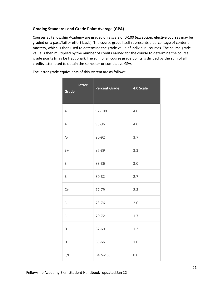### **Grading Standards and Grade Point Average (GPA)**

Courses at Fellowship Academy are graded on a scale of 0-100 (exception: elective courses may be graded on a pass/fail or effort basis). The course grade itself represents a percentage of content mastery, which is then used to determine the grade value of individual courses. The course grade value is then multiplied by the number of credits earned for the course to determine the course grade points (may be fractional). The sum of all course grade points is divided by the sum of all credits attempted to obtain the semester or cumulative GPA.

| Letter<br>Grade | <b>Percent Grade</b> | 4.0 Scale |
|-----------------|----------------------|-----------|
| $A+$            | 97-100               | 4.0       |
| A               | 93-96                | 4.0       |
| $A-$            | 90-92                | 3.7       |
| $B+$            | 87-89                | 3.3       |
| B               | 83-86                | 3.0       |
| $B -$           | 80-82                | 2.7       |
| $C+$            | 77-79                | 2.3       |
| $\mathsf C$     | 73-76                | 2.0       |
| $C-$            | 70-72                | 1.7       |
| D+              | 67-69                | 1.3       |
| D               | 65-66                | $1.0\,$   |
| E/F             | Below 65             | 0.0       |

The letter grade equivalents of this system are as follows: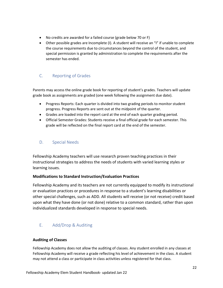- No credits are awarded for a failed course (grade below 70 or F)
- Other possible grades are Incomplete (I). A student will receive an "I" if unable to complete the course requirements due to circumstances beyond the control of the student, and special permission is granted by administration to complete the requirements after the semester has ended.

# <span id="page-21-0"></span>C. Reporting of Grades

Parents may access the online grade book for reporting of student's grades. Teachers will update grade book as assignments are graded (one week following the assignment due date).

- Progress Reports: Each quarter is divided into two grading periods to monitor student progress. Progress Reports are sent out at the midpoint of the quarter.
- Grades are loaded into the report card at the end of each quarter grading period.
- Official Semester Grades: Students receive a final official grade for each semester. This grade will be reflected on the final report card at the end of the semester.

# <span id="page-21-1"></span>D. Special Needs

Fellowship Academy teachers will use research proven teaching practices in their instructional strategies to address the needs of students with varied learning styles or learning issues.

# **Modifications to Standard Instruction/Evaluation Practices**

Fellowship Academy and its teachers are not currently equipped to modify its instructional or evaluation practices or procedures in response to a student's learning disabilities or other special challenges, such as ADD. All students will receive (or not receive) credit based upon what they have done (or not done) relative to a common standard, rather than upon individualized standards developed in response to special needs.

# <span id="page-21-2"></span>E. Add/Drop & Auditing

# **Auditing of Classes**

Fellowship Academy does not allow the auditing of classes. Any student enrolled in any classes at Fellowship Academy will receive a grade reflecting his level of achievement in the class. A student may not attend a class or participate in class activities unless registered for that class.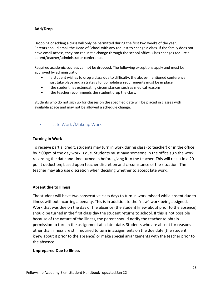# **Add/Drop**

Dropping or adding a class will only be permitted during the first two weeks of the year. Parents should email the Head of School with any request to change a class. If the family does not have email access, they can request a change through the school office. Class changes require a parent/teacher/administrator conference.

Required academic courses cannot be dropped. The following exceptions apply and must be approved by administration:

- If a student wishes to drop a class due to difficulty, the above-mentioned conference must take place and a strategy for completing requirements must be in place.
- If the student has extenuating circumstances such as medical reasons.
- If the teacher recommends the student drop the class.

Students who do not sign up for classes on the specified date will be placed in classes with available space and may not be allowed a schedule change.

# <span id="page-22-0"></span>F. Late Work /Makeup Work

### **Turning in Work**

To receive partial credit, students may turn in work during class (to teacher) or in the office by 2:00pm of the day work is due. Students must have someone in the office sign the work, recording the date and time turned in before giving it to the teacher. This will result in a 20 point deduction; based upon teacher discretion and circumstance of the situation. The teacher may also use discretion when deciding whether to accept late work.

### **Absent due to Illness**

The student will have two consecutive class days to turn in work missed while absent due to illness without incurring a penalty. This is in addition to the "new" work being assigned. Work that was due on the day of the absence (the student knew about prior to the absence) should be turned in the first class day the student returns to school. If this is not possible because of the nature of the illness, the parent should notify the teacher to obtain permission to turn in the assignment at a later date. Students who are absent for reasons other than illness are still required to turn in assignments on the due date (the student knew about it prior to the absence) or make special arrangements with the teacher prior to the absence.

### **Unprepared Due to Illness**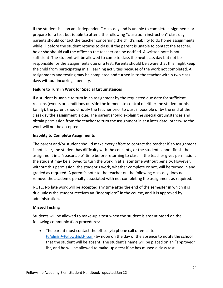If the student is ill on an "independent" class day and is unable to complete assignments or prepare for a test but is able to attend the following "classroom instruction" class day, parents should contact the teacher concerning the child's inability to do home assignments while ill before the student returns to class. If the parent is unable to contact the teacher, he or she should call the office so the teacher can be notified. A written note is not sufficient. The student will be allowed to come to class the next class day but not be responsible for the assignments due or a test. Parents should be aware that this might keep the child from participating in all learning activities because of the work not completed. All assignments and testing may be completed and turned in to the teacher within two class days without incurring a penalty.

### **Failure to Turn in Work for Special Circumstances**

If a student is unable to turn in an assignment by the requested due date for sufficient reasons (events or conditions outside the immediate control of either the student or his family), the parent should notify the teacher prior to class if possible or by the end of the class day the assignment is due. The parent should explain the special circumstances and obtain permission from the teacher to turn the assignment in at a later date; otherwise the work will not be accepted.

### **Inability to Complete Assignments**

The parent and/or student should make every effort to contact the teacher if an assignment is not clear, the student has difficulty with the concepts, or the student cannot finish the assignment in a "reasonable" time before returning to class. If the teacher gives permission, the student may be allowed to turn the work in at a later time without penalty. However, without this permission, the student's work, whether complete or not, will be turned in and graded as required. A parent's note to the teacher on the following class day does not remove the academic penalty associated with not completing the assignment as required.

NOTE: No late work will be accepted any time after the end of the semester in which it is due unless the student receives an "Incomplete" in the course, and it is approved by administration.

### **Missed Testing**

Students will be allowed to make-up a test when the student is absent based on the following communication procedures:

• The parent must contact the office (via phone call or email to [FaAdmin@FellowshipLH.com](mailto:FaAdmin@FellowshipLH.com)) by noon on the day of the absence to notify the school that the student will be absent. The student's name will be placed on an "approved" list, and he will be allowed to make-up a test if he has missed a class test.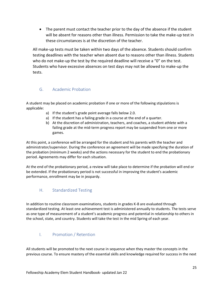• The parent must contact the teacher prior to the day of the absence if the student will be absent for reasons other than illness. Permission to take the make-up test in these circumstances is at the discretion of the teacher.

All make-up tests must be taken within two days of the absence. Students should confirm testing deadlines with the teacher when absent due to reasons other than illness. Students who do not make-up the test by the required deadline will receive a "0" on the test. Students who have excessive absences on test days may not be allowed to make-up the tests.

# <span id="page-24-0"></span>G. Academic Probation

A student may be placed on academic probation if one or more of the following stipulations is applicable:

- a) If the student's grade point average falls below 2.0.
- a) If the student has a failing grade in a course at the end of a quarter.
- b) At the discretion of administration, teachers, and coaches, a student athlete with a failing grade at the mid-term progress report may be suspended from one or more games.

At this point, a conference will be arranged for the student and his parents with the teacher and administrator/supervisor. During the conference an agreement will be made specifying the duration of the probation (minimum 2 weeks) and the actions necessary for the student to end the probationary period. Agreements may differ for each situation.

At the end of the probationary period, a review will take place to determine if the probation will end or be extended. If the probationary period is not successful in improving the student's academic performance, enrollment may be in jeopardy.

# <span id="page-24-1"></span>H. Standardized Testing

In addition to routine classroom examinations, students in grades K-8 are evaluated through standardized testing. At least one achievement test is administered annually to students. The tests serve as one type of measurement of a student's academic progress and potential in relationship to others in the school, state, and country. Students will take the test in the mid Spring of each year.

# <span id="page-24-2"></span>I. Promotion / Retention

All students will be promoted to the next course in sequence when they master the concepts in the previous course. To ensure mastery of the essential skills and knowledge required for success in the next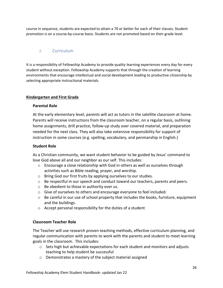course in sequence, students are expected to attain a 70 or better for each of their classes. Student promotion is on a course-by-course basis. Students are not promoted based on their grade level.

# <span id="page-25-0"></span>J. Curriculum

It is a responsibility of Fellowship Academy to provide quality learning experiences every day for every student without exception. Fellowship Academy supports that through the creation of learning environments that encourage intellectual and social development leading to productive citizenship by selecting appropriate instructional materials.

### **Kindergarten and First Grade**

### **Parental Role**

At the early elementary level, parents will act as tutors in the satellite classroom at home. Parents will receive instructions from the classroom teacher, on a regular basis, outlining home assignments, drill practice, follow-up study over covered material, and preparation needed for the next class. They will also take extensive responsibility for support of instruction in some courses (e.g. spelling, vocabulary, and penmanship in English.)

### **Student Role**

As a Christian community, we want student behavior to be guided by Jesus' command to love God above all and our neighbor as our self. This includes:

- $\circ$  Encourage a close relationship with God in others as well as ourselves through activities such as Bible reading, prayer, and worship.
- o Bring God our first fruits by applying ourselves to our studies.
- $\circ$  Be respectful in our speech and conduct toward our teachers, parents and peers.
- o Be obedient to those in authority over us.
- o Give of ourselves to others and encourage everyone to feel included.
- $\circ$  Be careful in our use of school property that includes the books, furniture, equipment and the buildings.
- o Accept personal responsibility for the duties of a student

### **Classroom Teacher Role**

The Teacher will use research proven teaching methods, effective curriculum planning, and regular communication with parents to work with the parents and student to meet learning goals in the classroom. This includes:

- $\circ$  Sets high but achievable expectations for each student and monitors and adjusts teaching to help student be successful
- o Demonstrates a mastery of the subject material assigned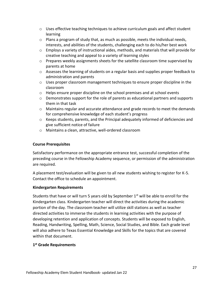- $\circ$  Uses effective teaching techniques to achieve curriculum goals and affect student learning
- $\circ$  Plans a program of study that, as much as possible, meets the individual needs, interests, and abilities of the students, challenging each to do his/her best work
- $\circ$  Employs a variety of instructional aides, methods, and materials that will provide for creative teaching and appeal to a variety of learning styles
- $\circ$  Prepares weekly assignments sheets for the satellite classroom time supervised by parents at home
- o Assesses the learning of students on a regular basis and supplies proper feedback to administration and parents
- $\circ$  Uses proper classroom management techniques to ensure proper discipline in the classroom
- $\circ$  Helps ensure proper discipline on the school premises and at school events
- $\circ$  Demonstrates support for the role of parents as educational partners and supports them in that task
- $\circ$  Maintains regular and accurate attendance and grade records to meet the demands for comprehensive knowledge of each student's progress
- $\circ$  Keeps students, parents, and the Principal adequately informed of deficiencies and give sufficient notice of failure
- o Maintains a clean, attractive, well-ordered classroom

# **Course Prerequisites**

Satisfactory performance on the appropriate entrance test, successful completion of the preceding course in the Fellowship Academy sequence, or permission of the administration are required.

A placement test/evaluation will be given to all new students wishing to register for K-5. Contact the office to schedule an appointment.

# **Kindergarten Requirements**

Students that have or will turn 5 years old by September  $1<sup>st</sup>$  will be able to enroll for the Kindergarten class. Kindergarten teacher will direct the activities during the academic portion of the day. The classroom teacher will utilize skill stations as well as teacher directed activities to immerse the students in learning activities with the purpose of developing retention and application of concepts. Students will be exposed to English, Reading, Handwriting, Spelling, Math, Science, Social Studies, and Bible. Each grade level will also adhere to Texas Essential Knowledge and Skills for the topics that are covered within that document.

# **1 st Grade Requirements**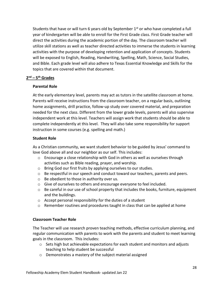Students that have or will turn 6 years old by September 1<sup>st</sup> or who have completed a full year of kindergarten will be able to enroll for the First Grade class. First Grade teacher will direct the activities during the academic portion of the day. The classroom teacher will utilize skill stations as well as teacher directed activities to immerse the students in learning activities with the purpose of developing retention and application of concepts. Students will be exposed to English, Reading, Handwriting, Spelling, Math, Science, Social Studies, and Bible. Each grade level will also adhere to Texas Essential Knowledge and Skills for the topics that are covered within that document.

### **2 nd – 5 th Grades**

### **Parental Role**

At the early elementary level, parents may act as tutors in the satellite classroom at home. Parents will receive instructions from the classroom teacher, on a regular basis, outlining home assignments, drill practice, follow-up study over covered material, and preparation needed for the next class. Different from the lower grade levels, parents will also supervise independent work at this level. Teachers will assign work that students should be able to complete independently at this level. They will also take some responsibility for support instruction in some courses (e.g. spelling and math.)

### **Student Role**

As a Christian community, we want student behavior to be guided by Jesus' command to love God above all and our neighbor as our self. This includes:

- $\circ$  Encourage a close relationship with God in others as well as ourselves through activities such as Bible reading, prayer, and worship.
- o Bring God our first fruits by applying ourselves to our studies.
- o Be respectful in our speech and conduct toward our teachers, parents and peers.
- o Be obedient to those in authority over us.
- o Give of ourselves to others and encourage everyone to feel included.
- $\circ$  Be careful in our use of school property that includes the books, furniture, equipment and the buildings.
- $\circ$  Accept personal responsibility for the duties of a student
- $\circ$  Remember routines and procedures taught in class that can be applied at home

### **Classroom Teacher Role**

The Teacher will use research proven teaching methods, effective curriculum planning, and regular communication with parents to work with the parents and student to meet learning goals in the classroom. This includes:

- o Sets high but achievable expectations for each student and monitors and adjusts teaching to help student be successful
- o Demonstrates a mastery of the subject material assigned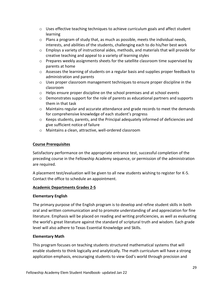- $\circ$  Uses effective teaching techniques to achieve curriculum goals and affect student learning
- $\circ$  Plans a program of study that, as much as possible, meets the individual needs, interests, and abilities of the students, challenging each to do his/her best work
- $\circ$  Employs a variety of instructional aides, methods, and materials that will provide for creative teaching and appeal to a variety of learning styles
- $\circ$  Prepares weekly assignments sheets for the satellite classroom time supervised by parents at home
- o Assesses the learning of students on a regular basis and supplies proper feedback to administration and parents
- $\circ$  Uses proper classroom management techniques to ensure proper discipline in the classroom
- $\circ$  Helps ensure proper discipline on the school premises and at school events
- $\circ$  Demonstrates support for the role of parents as educational partners and supports them in that task
- $\circ$  Maintains regular and accurate attendance and grade records to meet the demands for comprehensive knowledge of each student's progress
- $\circ$  Keeps students, parents, and the Principal adequately informed of deficiencies and give sufficient notice of failure
- o Maintains a clean, attractive, well-ordered classroom

# **Course Prerequisites**

Satisfactory performance on the appropriate entrance test, successful completion of the preceding course in the Fellowship Academy sequence, or permission of the administration are required.

A placement test/evaluation will be given to all new students wishing to register for K-5. Contact the office to schedule an appointment.

# **Academic Departments Grades 2-5**

# **Elementary English**

The primary purpose of the English program is to develop and refine student skills in both oral and written communication and to promote understanding of and appreciation for fine literature. Emphasis will be placed on reading and writing proficiencies, as well as evaluating the world's great literature against the standard of scriptural truth and wisdom. Each grade level will also adhere to Texas Essential Knowledge and Skills.

# **Elementary Math**

This program focuses on teaching students structured mathematical systems that will enable students to think logically and analytically. The math curriculum will have a strong application emphasis, encouraging students to view God's world through precision and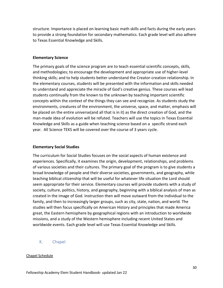structure. Importance is placed on learning basic math skills and facts during the early years to provide a strong foundation for secondary mathematics. Each grade level will also adhere to Texas Essential Knowledge and Skills.

### **Elementary Science**

The primary goals of the science program are to teach essential scientific concepts, skills, and methodologies; to encourage the development and appropriate use of higher-level thinking skills; and to help students better understand the Creator-creation relationship. In the elementary courses, students will be presented with the information and skills needed to understand and appreciate the miracle of God's creative genius. These courses will lead students continually from the known to the unknown by teaching important scientific concepts within the context of the things they can see and recognize. As students study the environments, creatures of the environment, the universe, space, and matter, emphasis will be placed on the entire universe(and all that is in it) as the direct creation of God, and the man-made idea of evolution will be refuted. Teachers will use the topics in Texas Essential Knowledge and Skills as a guide when teaching science based on a specific strand each year. All Science TEKS will be covered over the course of 3 years cycle.

### **Elementary Social Studies**

The curriculum for Social Studies focuses on the social aspects of human existence and experiences. Specifically, it examines the origin, development, relationships, and problems of various societies and their cultures. The primary goal of the program is to give students a broad knowledge of people and their diverse societies, governments, and geography, while teaching biblical citizenship that will be useful for whatever life situation the Lord should seem appropriate for their service. Elementary courses will provide students with a study of society, culture, politics, history, and geography, beginning with a biblical analysis of man as created in the image of God. Instruction then will move outward from the individual to the family, and then to increasingly larger groups, such as city, state, nation, and world. The studies will then focus specifically on American History and principles that made America great, the Eastern hemisphere by geographical regions with an introduction to worldwide missions, and a study of the Western hemisphere including recent United States and worldwide events. Each grade level will use Texas Essential Knowledge and Skills.

### <span id="page-29-0"></span>K. Chapel

### Chapel Schedule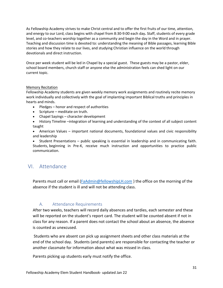As Fellowship Academy strives to make Christ central and to offer the first fruits of our time, attention, and energy to our Lord, class begins with chapel from 8:30-9:00 each day**.** Staff, students of every grade level, and co-teachers worship together as a community and begin the day in the Word and in prayer. Teaching and discussion time is devoted to: understanding the meaning of Bible passages, learning Bible stories and how they relate to our lives, and studying Christian influence on the world through devotionals and direct instruction.

Once per week student will be led in Chapel by a special guest. These guests may be a pastor, elder, school board members, church staff or anyone else the administration feels can shed light on our current topic.

### Memory Recitation

Fellowship Academy students are given weekly memory work assignments and routinely recite memory work individually and collectively with the goal of implanting important Biblical truths and principles in hearts and minds.

- Pledges honor and respect of authorities
- Scripture meditate on truth.
- Chapel Sayings character development
- History Timeline –integration of learning and understanding of the context of all subject content taught
- American Values important national documents, foundational values and civic responsibility and leadership

• Student Presentations – public speaking is essential in leadership and in communicating faith. Students, beginning in Pre-K, receive much instruction and opportunities to practice public communication.

# <span id="page-30-0"></span>VI. Attendance

Parents must call or email [\(FaAdmin@fellowshipLH.com](mailto:FaAdmin@fellowshipLH.com)) the office on the morning of the absence if the student is ill and will not be attending class.

# A. Attendance Requirements

<span id="page-30-1"></span>After two weeks, teachers will record daily absences and tardies, each semester and these will be reported on the student's report card. The student will be counted absent if not in class for any reason. If a parent does not contact the school about an absence, the absence is counted as unexcused.

Students who are absent can pick up assignment sheets and other class materials at the end of the school day. Students (and parents) are responsible for contacting the teacher or another classmate for information about what was missed in class.

Parents picking up students early must notify the office.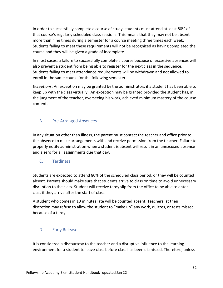In order to successfully complete a course of study, students must attend at least 80% of that course's regularly scheduled class sessions. This means that they may not be absent more than nine times during a semester for a course meeting three times each week. Students failing to meet these requirements will not be recognized as having completed the course and they will be given a grade of incomplete.

In most cases, a failure to successfully complete a course because of excessive absences will also prevent a student from being able to register for the next class in the sequence. Students failing to meet attendance requirements will be withdrawn and not allowed to enroll in the same course for the following semester.

*Exceptions*: An exception may be granted by the administrators if a student has been able to keep up with the class virtually. An exception may be granted provided the student has, in the judgment of the teacher, overseeing his work, achieved minimum mastery of the course content.

# <span id="page-31-0"></span>B. Pre-Arranged Absences

In any situation other than illness, the parent must contact the teacher and office prior to the absence to make arrangements with and receive permission from the teacher. Failure to properly notify administration when a student is absent will result in an unexcused absence and a zero for all assignments due that day.

# <span id="page-31-1"></span>C. Tardiness

Students are expected to attend 80% of the scheduled class period, or they will be counted absent. Parents should make sure that students arrive to class on time to avoid unnecessary disruption to the class. Student will receive tardy slip from the office to be able to enter class if they arrive after the start of class.

A student who comes in 10 minutes late will be counted absent. Teachers, at their discretion may refuse to allow the student to "make up" any work, quizzes, or tests missed because of a tardy.

# <span id="page-31-2"></span>D. Early Release

It is considered a discourtesy to the teacher and a disruptive influence to the learning environment for a student to leave class before class has been dismissed. Therefore, unless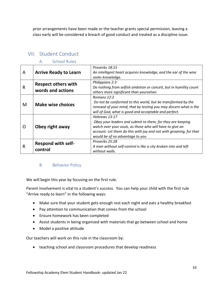prior arrangements have been made or the teacher grants special permission, leaving a class early will be considered a breach of good conduct and treated as a discipline issue.

| A | <b>Arrive Ready to Learn</b>                    | Proverbs 18:15<br>An intelligent heart acquires knowledge, and the ear of the wise<br>seeks knowledge.                                                                                                                                           |
|---|-------------------------------------------------|--------------------------------------------------------------------------------------------------------------------------------------------------------------------------------------------------------------------------------------------------|
| R | <b>Respect others with</b><br>words and actions | Philippians 2:3<br>Do nothing from selfish ambition or conceit, but in humility count<br>others more significant than yourselves                                                                                                                 |
| M | <b>Make wise choices</b>                        | Romans 12:2<br>Do not be conformed to this world, but be transformed by the<br>renewal of your mind, that by testing you may discern what is the<br>will of God, what is good and acceptable and perfect.                                        |
| O | Obey right away                                 | Hebrews 13:17<br>Obey your leaders and submit to them, for they are keeping<br>watch over your souls, as those who will have to give an<br>account. Let them do this with joy and not with groaning, for that<br>would be of no advantage to you |
| R | <b>Respond with self-</b><br>control            | Proverbs 25:28<br>A man without self-control is like a city broken into and left<br>without walls.                                                                                                                                               |

# <span id="page-32-1"></span><span id="page-32-0"></span>VII. Student Conduct

# A. School Rules

# <span id="page-32-2"></span>B. Behavior Policy

We will begin this year by focusing on the first rule.

Parent involvement is vital to a student's success. You can help your child with the first rule "Arrive ready to learn" in the following ways:

- Make sure that your student gets enough rest each night and eats a healthy breakfast
- Pay attention to communication that comes from the school
- Ensure homework has been completed
- Assist students in being organized with materials that go between school and home
- Model a positive attitude

Our teachers will work on this rule in the classroom by:

• teaching school and classroom procedures that develop readiness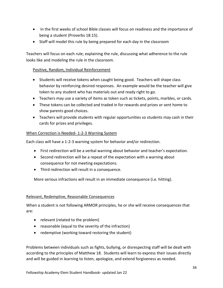- In the first weeks of school Bible classes will focus on readiness and the importance of being a student (Proverbs 18:15).
- Staff will model this rule by being prepared for each day in the classroom

Teachers will focus on each rule; explaining the rule, discussing what adherence to the rule looks like and modeling the rule in the classroom.

### Positive, Random, Individual Reinforcement

- Students will receive tokens when caught being good. Teachers will shape class behavior by reinforcing desired responses. An example would be the teacher will give token to any student who has materials out and ready right to go.
- Teachers may use a variety of items as token such as tickets, points, marbles, or cards.
- These tokens can be collected and traded in for rewards and prizes or sent home to show parents good choices.
- Teachers will provide students with regular opportunities so students may cash in their cards for prizes and privileges.

### When Correction is Needed- 1-2-3 Warning System

Each class will have a 1-2-3 warning system for behavior and/or redirection.

- First redirection will be a verbal warning about behavior and teacher's expectation.
- Second redirection will be a repeat of the expectation with a warning about consequence for not meeting expectations.
- Third redirection will result in a consequence.

More serious infractions will result in an immediate consequence (i.e. hitting).

### Relevant, Redemptive, Reasonable Consequences

When a student is not following ARMOR principles, he or she will receive consequences that are:

- relevant (related to the problem)
- reasonable (equal to the severity of the infraction)
- redemptive (working toward restoring the student)

Problems between individuals such as fights, bullying, or disrespecting staff will be dealt with according to the principles of Matthew 18. Students will learn to express their issues directly and will be guided in learning to listen, apologize, and extend forgiveness as needed.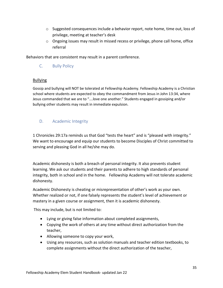- $\circ$  Suggested consequences include a behavior report, note home, time out, loss of privilege, meeting at teacher's desk
- $\circ$  Ongoing issues may result in missed recess or privilege, phone call home, office referral

<span id="page-34-0"></span>Behaviors that are consistent may result in a parent conference.

C. Bully Policy

### Bullying

Gossip and bullying will NOT be tolerated at Fellowship Academy. Fellowship Academy is a Christian school where students are expected to obey the commandment from Jesus in John 13:34, where Jesus commanded that we are to "….love one another." Students engaged in gossiping and/or bullying other students may result in immediate expulsion.

# <span id="page-34-1"></span>D. Academic Integrity

1 Chronicles 29:17a reminds us that God "tests the heart" and is "pleased with integrity." We want to encourage and equip our students to become Disciples of Christ committed to serving and pleasing God in all he/she may do.

Academic dishonesty is both a breach of personal integrity. It also prevents student learning. We ask our students and their parents to adhere to high standards of personal integrity, both in school and in the home. Fellowship Academy will not tolerate academic dishonesty.

Academic Dishonesty is cheating or misrepresentation of other's work as your own. Whether realized or not, if one falsely represents the student's level of achievement or mastery in a given course or assignment, then it is academic dishonesty.

This may include, but is not limited to:

- Lying or giving false information about completed assignments,
- Copying the work of others at any time without direct authorization from the teacher,
- Allowing someone to copy your work,
- Using any resources, such as solution manuals and teacher edition textbooks, to complete assignments without the direct authorization of the teacher,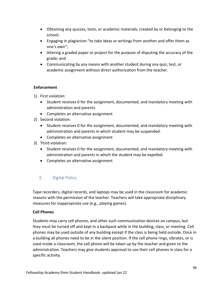- Obtaining any quizzes, tests, or academic materials, created by or belonging to the school;
- Engaging in plagiarism-"to take ideas or writings from another and offer them as one's own";
- Altering a graded paper or project for the purpose of disputing the accuracy of the grade; and
- Communicating by any means with another student during any quiz, test, or academic assignment without direct authorization from the teacher.

### **Enforcement**

- 1) First violation:
	- Student receives 0 for the assignment, documented, and mandatory meeting with administration and parents.
	- Completes an alternative assignment
- 2) Second violation:
	- Student receives 0 for the assignment, documented, and mandatory meeting with administration and parents in which student may be suspended.
	- Completes an alternative assignment
- 3) Third violation:
	- Student receives 0 for the assignment, documented, and mandatory meeting with administration and parents in which the student may be expelled.
	- Completes an alternative assignment

# <span id="page-35-0"></span>E. Digital Policy

Tape recorders, digital records, and laptops may be used in the classroom for academic reasons with the permission of the teacher. Teachers will take appropriate disciplinary measures for inappropriate use (e.g., playing games).

# **Cell Phones**

Students may carry cell phones, and other such communication devices on campus, but they must be turned off and kept in a backpack while in the building, class, or meeting. Cell phones may be used outside of any building except if the class is being held outside. Once in a building all phones need to be in the silent position. If the cell phone rings, vibrates, or is used inside a classroom, the cell phone will be taken up by the teacher and given to the administration. Teachers may give students approval to use their cell phones in class for a specific activity.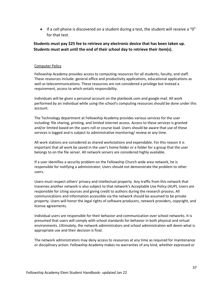• If a cell phone is discovered on a student during a test, the student will receive a "0" for that test.

# **Students must pay \$25 fee to retrieve any electronic device that has been taken up. Students must wait until the end of their school day to retrieve their item(s).**

### Computer Policy

Fellowship Academy provides access to computing resources for all students, faculty, and staff. These resources include: general office and productivity applications, educational applications as well as telecommunications. These resources are not considered a privilege but instead a requirement, access to which entails responsibility.

Individuals will be given a personal account on the planbook.com and google mail. All work performed by an individual while using the school's computing resources should be done under this account.

The Technology department at Fellowship Academy provides various services for the user including: file sharing, printing, and limited internet access. Access to these services is granted and/or limited based on the users roll or course load. Users should be aware that use of these services is logged and is subject to administrative monitoring/ review at any time.

All work stations are considered as shared workstations and expendable. For this reason it is important that all work be saved in the user's home folder or a folder for a group that the user belongs to on the file server. All network servers are considered highly available.

If a user identifies a security problem on the Fellowship Church wide area network, he is responsible for notifying a administrator; Users should not demonstrate the problem to other users.

Users must respect others' privacy and intellectual property. Any traffic from this network that traverses another network is also subject to that network's Acceptable Use Policy (AUP). Users are responsible for citing sources and giving credit to authors during the research process. All communications and information accessible via the network should be assumed to be private property. Users will honor the legal rights of software producers, network providers, copyright, and license agreements.

Individual users are responsible for their behavior and communication over school networks. It is presumed that users will comply with school standards for behavior in both physical and virtual environments. Ultimately, the network administrators and school administration will deem what is appropriate use and their decision is final.

The network administrators may deny access to resources at any time as required for maintenance or disciplinary action. Fellowship Academy makes no warranties of any kind, whether expressed or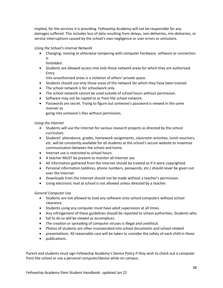implied, for the services it is providing. Fellowship Academy will not be responsible for any damages suffered. This includes loss of data resulting from delays, non-deliveries, mis-deliveries, or service interruptions caused by the school's own negligence or user errors or omissions.

*Using the School's Internal Network*

- Changing, moving or otherwise tampering with computer hardware, software or connection is
	- forbidden.
- Students are allowed access into only those network areas for which they are authorized. Entry

into unauthorized areas is a violation of others' private space.

- Students should use only those areas of the network for which they have been trained.
- The school network is for schoolwork only.
- The school network cannot be used outside of school hours without permission.
- Software may not be copied to or from the school network.
- Passwords are secret. Trying to figure out someone's password is viewed in the same manner as

going into someone's files without permission.

### *Using the Internet*

- Students will use the Internet for various research projects as directed by the school curriculum.
- Students' attendance, grades, homework assignments, classroom activities, lunch vouchers, etc. will be constantly available for all students at the school's secure website to maximize communication between the school and home.
- Internet use is restricted to school hours.
- A teacher MUST be present to monitor all Internet use.
- All information gathered from the Internet should be treated as if it were copyrighted.
- Personal information (address, phone numbers, passwords, etc.) should never be given out over the Internet.
- Downloads from the Internet should not be made without a teacher's permission.
- Using electronic mail at school is not allowed unless directed by a teacher.

### *General Computer Use*

- Students are not allowed to load any software onto school computers without school clearance.
- Students using any computer must have adult supervision at all times.
- Any infringement of these guidelines should be reported to school authorities. Students who
- fail to do so will be viewed as accomplices.
- The creation or spreading of computer viruses is illegal and unethical.
- Photos of students are often incorporated into school documents and school-related
- presentations. All reasonable care will be taken to consider the safety of each child in these
- publications.

Parent and students must sign Fellowship Academy's Device Policy if they wish to check out a computer from the school or use a personal computer/device while on campus.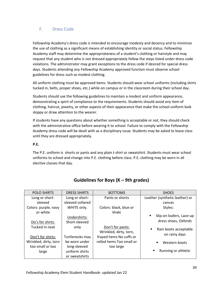# <span id="page-38-0"></span>F. Dress Code

Fellowship Academy's dress code is intended to encourage modesty and decency and to minimize the use of clothing as a significant means of establishing identity or social status. Fellowship Academy staff may determine the appropriateness of a student's clothing or hairstyle and may request that any student who is not dressed appropriately follow the steps listed under dress code violations. The administrator may grant exceptions to the dress code if desired for special dress days. Students attending any Fellowship Academy approved function must observe school guidelines for dress such as modest clothing.

All uniform clothing must be approved items. Students should wear school uniforms (including shirts tucked in, belts, proper shoes, etc.) while on campus or in the classroom during their school day.

Students should use the following guidelines to maintain a modest and uniform appearance, demonstrating a spirit of compliance to the requirements. Students should avoid any item of clothing, haircut, jewelry, or other aspects of their appearance that make the school uniform look sloppy or draw attention to the wearer.

If students have any questions about whether something is acceptable or not, they should check with the administrative office before wearing it to school. Failure to comply with the Fellowship Academy dress code will be dealt with as a disciplinary issue. Students may be asked to leave class until they are dressed appropriately.

### **P.E.**

The P.E. uniform is shorts or pants and any plain t-shirt or sweatshirt. Students must wear school uniforms to school and change into P.E. clothing before class. P.E. clothing may be worn in all elective classes that day.

| <b>POLO SHIRTS</b>    | <b>DRESS SHIRTS</b> | <b>BOTTOMS</b>           | <b>SHOES</b>                   |
|-----------------------|---------------------|--------------------------|--------------------------------|
| Long or short-        | Long or short-      | Pants or shorts          | Leather (synthetic leather) or |
| sleeved               | sleeved collared    |                          | canvas                         |
| Colors: purple, navy  | WHITE only.         | Colors: black, blue or   | Styles:                        |
| or white              |                     | khaki                    |                                |
|                       | Undershirts:        |                          | Slip-on loafers, Lace-up       |
| Do's for shirts:      | Short-sleeved       |                          | dress shoes, Oxfords           |
| Tucked in neat        | only                | Don't for pants:         | Rain boots acceptable<br>٠     |
|                       |                     | Wrinkled, dirty, torn,   | on rainy days                  |
| Don't for shirts:     | Turtlenecks may     | frayed hems No cuffs or  |                                |
| Wrinkled, dirty, torn | be worn under       | rolled hems Too small or | Western boots                  |
| too small or too      | long-sleeved        | too large                |                                |
| large                 | uniform shirts      |                          | Running or athletic<br>п       |
|                       | or sweatshirts      |                          |                                |

# **Guidelines for Boys (K – 9th grades)**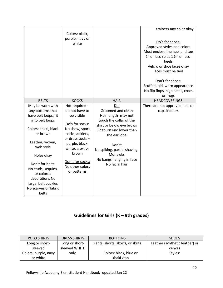|                      |                                     |                              | trainers-any color okay          |
|----------------------|-------------------------------------|------------------------------|----------------------------------|
|                      | Colors: black,                      |                              |                                  |
|                      | purple, navy or                     |                              |                                  |
|                      | white                               |                              | Do's for shoes:                  |
|                      |                                     |                              | Approved styles and colors       |
|                      |                                     |                              | Must enclose the heel and toe    |
|                      |                                     |                              | 1" or less-soles 1 1/2" or less- |
|                      |                                     |                              | heels                            |
|                      |                                     |                              | Velcro or shoe laces okay        |
|                      |                                     |                              | laces must be tied               |
|                      |                                     |                              |                                  |
|                      |                                     |                              | Don't for shoes:                 |
|                      |                                     |                              | Scuffed, old, worn appearance    |
|                      |                                     |                              | No flip flops, high heels, crocs |
|                      |                                     |                              | or frogs                         |
| <b>BELTS</b>         | <b>SOCKS</b>                        | <b>HAIR</b>                  | <b>HEADCOVERINGS</b>             |
| May be worn with     | Not required -                      | Do:                          | There are not approved hats or   |
| any bottoms that     | do not have to                      | Groomed and clean            | caps indoors                     |
| have belt loops, fit | be visible                          | Hair length- may not         |                                  |
| into belt loops      |                                     | touch the collar of the      |                                  |
|                      | Do's for socks:                     | shirt or below eye brows     |                                  |
| Colors: khaki, black | No show, sport                      | Sideburns-no lower than      |                                  |
| or brown             | socks, anklets,                     | the ear lobe                 |                                  |
|                      | or dress socks -                    |                              |                                  |
| Leather, woven,      | purple, black,                      | Don't:                       |                                  |
| web style            | white, gray, or                     | No spiking, partial shaving, |                                  |
| Holes okay           | brown                               | <b>Mohawks</b>               |                                  |
|                      |                                     | No bangs hanging in face     |                                  |
| Don't for belts:     | Don't for socks:<br>No other colors | No facial hair               |                                  |
| No studs, sequins,   |                                     |                              |                                  |
| or colored           | or patterns                         |                              |                                  |
| decorations No       |                                     |                              |                                  |
| large belt buckles   |                                     |                              |                                  |
| No scarves or fabric |                                     |                              |                                  |
| belts                |                                     |                              |                                  |

# **Guidelines for Girls (K – 9th grades)**

| POLO SHIRTS          | <b>DRESS SHIRTS</b> | <b>BOTTOMS</b>                   | <b>SHOES</b>                   |
|----------------------|---------------------|----------------------------------|--------------------------------|
| Long or short-       | Long or short-      | Pants, shorts, skorts, or skirts | Leather (synthetic leather) or |
| sleeved              | sleeved WHITE       |                                  | canvas                         |
| Colors: purple, navy | only.               | Colors: black, blue or           | Styles:                        |
| or white             |                     | khaki /tan                       |                                |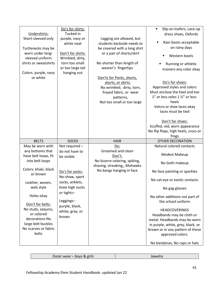|                                            | Do's for shirts:  |                               | Slip-on loafers, Lace-up<br>$\blacksquare$ |
|--------------------------------------------|-------------------|-------------------------------|--------------------------------------------|
| Undershirts:                               | Tucked in         |                               | dress shoes, Oxfords                       |
| Short-sleeved only                         | purple, navy or   | Legging are allowed, but      |                                            |
|                                            | white neat        | students backside needs to    | Rain boots acceptable                      |
| Turtlenecks may be                         |                   | be covered with a long shirt  | on rainy days                              |
| worn under long-                           | Don't for shirts: | or a pair of shorts/skirt     |                                            |
| sleeved uniform                            | Wrinkled, dirty,  |                               | Western boots                              |
| shirts or sweatshirts                      | torn too small    | No shorter than length of     |                                            |
|                                            | or too large tail | wearer's fingertips           | Running or athletic                        |
| Colors: purple, navy                       | hanging out       |                               | trainers-any color okay                    |
| or white                                   |                   |                               |                                            |
|                                            |                   | Don'ts for Pants, shorts,     | Do's for shoes:                            |
|                                            |                   | skorts, or skirts:            |                                            |
|                                            |                   | No wrinkled, dirty, torn,     | Approved styles and colors                 |
|                                            |                   | frayed fabric, or wear        | Must enclose the heel and toe              |
|                                            |                   | patterns,                     | 1" or less-soles 1 1/2" or less-           |
|                                            |                   | Not too small or too large    | heels                                      |
|                                            |                   |                               | Velcro or shoe laces okay                  |
|                                            |                   |                               | laces must be tied                         |
|                                            |                   |                               |                                            |
|                                            |                   |                               | Don't for shoes:                           |
|                                            |                   |                               | Scuffed, old, worn appearance              |
|                                            |                   |                               | No flip flops, high heels, crocs or        |
|                                            |                   |                               |                                            |
|                                            |                   |                               | frogs                                      |
| <b>BELTS</b>                               | <b>SOCKS</b>      | <b>HAIR</b>                   | <b>OTHER DECORATION</b>                    |
| May be worn with                           | Not required -    | Do:                           | Natural colored contacts                   |
| any bottoms that                           | do not have to    | Groomed and clean             |                                            |
| have belt loops, fit                       | be visible        | Don't:                        | Modest Makeup                              |
| into belt loops                            |                   | No bizarre coloring, spiking, |                                            |
|                                            |                   | shaving, streaking,, Mohawks  | No Goth makeup                             |
| Colors: khaki, black                       | Do's for socks:   | No bangs hanging in face      | No face painting or sparkles               |
| or brown                                   |                   |                               |                                            |
|                                            | No-show, sport    |                               | No cat-eye or exotic contacts              |
| Leather, woven,                            | socks, anklets,   |                               |                                            |
| web style                                  | knee high socks   |                               | No gag glasses                             |
|                                            | or tights-        |                               |                                            |
| Holes okay                                 |                   |                               | No other additions not part of             |
| Don't for belts:                           | Leggings-         |                               | the school uniform                         |
| No studs, sequins,                         | purple, black,    |                               | <b>HEADCOVERINGS</b>                       |
| or colored                                 | white, gray, or   |                               |                                            |
| decorations No                             | brown             |                               | Headbands may be cloth or                  |
|                                            |                   |                               | metal. Headbands may be worn               |
| large belt buckles<br>No scarves or fabric |                   |                               | in purple, white, grey, black, or          |
|                                            |                   |                               | brown or in any pattern of these           |
| belts                                      |                   |                               | approved colors.                           |

| σiric<br><b>bovs</b><br>Outer wear $-$<br>. |  |
|---------------------------------------------|--|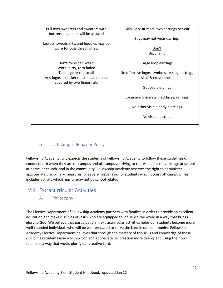| Pull over sweaters and sweaters with<br>buttons or zippers will be allowed | Girls Only: at most, two earrings per ear      |
|----------------------------------------------------------------------------|------------------------------------------------|
| Jackets, sweatshirts, and hoodies may be                                   | Boys may not wear earrings                     |
| worn for outside activities.                                               | Don't                                          |
|                                                                            | Big chains                                     |
| Don't for outer wear:<br>Worn, dirty, torn faded                           | Large loop earrings                            |
| Too large or too small                                                     | No offensive logos, symbols, or slogans (e.g., |
| Any logos on jacket must be able to be<br>covered by two finger rule       | skull & crossbones)                            |
|                                                                            | Gauged piercings                               |
|                                                                            | Excessive bracelets, necklaces, or rings       |
|                                                                            | No other visible body piercings                |
|                                                                            | No visible tattoos                             |
|                                                                            |                                                |

# <span id="page-41-0"></span>G. Off Campus Behavior Policy

Fellowship Academy fully expects the students of Fellowship Academy to follow these guidelines on conduct both when they are on campus and off campus, striving to represent a positive image at school, at home, at church, and in the community. Fellowship Academy reserves the right to administer appropriate disciplinary measures for severe misbehavior of students which occurs off campus. This includes activity which may or may not be school related.

# <span id="page-41-2"></span><span id="page-41-1"></span>VIII. Extracurricular Activities

A. Philosophy

The Elective Department of Fellowship Academy partners with families in order to provide an excellent education and make disciples of Jesus who are equipped to influence the world in a way that brings glory to God. We believe that participation in extracurricular activities helps our students become more well-rounded individuals who will be well-prepared to serve the Lord in our community. Fellowship Academy Elective Department believes that through the mastery of the skills and knowledge of these disciplines students may worship God and appreciate His creation more deeply and using their own talents in a way that would glorify our creative Lord.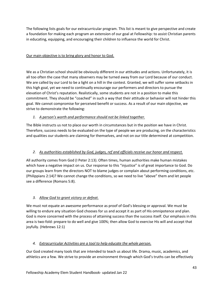The following lists goals for our extracurricular program. This list is meant to give perspective and create a foundation for making each program an extension of our goal at Fellowship: to assist Christian parents in educating, equipping, and encouraging their children to influence the world for Christ.

### Our main objective is to bring glory and honor to God.

We as a Christian school should be obviously different in our attitudes and actions. Unfortunately, it is all too often the case that many observers may be turned away from our Lord because of our conduct. We are called by our Lord to be a light on a hill in the contest. Granted, we will suffer some setbacks in this high goal, yet we need to continually encourage our performers and directors to pursue the elevation of Christ's reputation. Realistically, some students are not in a position to make this commitment. They should be "coached" in such a way that their attitude or behavior will not hinder this goal. We cannot compromise for perceived benefit or success. As a result of our main objective, we strive to demonstrate the following:

### *1. A person's worth and performance should not be linked together.*

The Bible instructs us not to place our worth in circumstances but in the position we have in Christ. Therefore, success needs to be evaluated on the type of people we are producing, on the characteristics and qualities our students are claiming for themselves, and not on our title determined at competition.

# *2. As authorities established by God, judges, ref and officials receive our honor and respect.*

All authority comes from God (I Peter 2:13). Often times, human authorities make human mistakes which have a negative impact on us. Our response to this "injustice" is of great importance to God. Do our groups learn from the directors NOT to blame judges or complain about performing conditions, etc. (Philippians 2:14)? We cannot change the conditions, so we need to live "above" them and let people see a difference (Romans 5:8).

# *3. Allow God to grant victory or defeat.*

We must not equate an awesome performance as proof of God's blessing or approval. We must be willing to endure any situation God chooses for us and accept it as part of His omnipotence and plan. God is more concerned with the process of attaining success than the success itself. Our emphasis in this area is two-fold: prepare to do well and give 100%; then allow God to exercise His will and accept that joyfully. (Hebrews 12:1)

### *4. Extracurricular Activities are a tool to help educate the whole person.*

Our God created many tools that are intended to teach us about life. Drama, music, academics, and athletics are a few. We strive to provide an environment through which God's truths can be effectively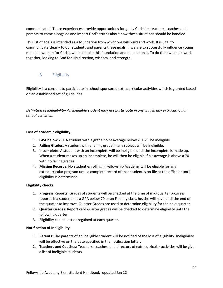communicated. These experiences provide opportunities for godly Christian teachers, coaches and parents to come alongside and impart God's truths about how these situations should be handled.

This list of goals is intended as a foundation from which we will build and work. It is vital to communicate clearly to our students and parents these goals. If we are to successfully influence young men and women for Christ, we must take this foundation and build upon it. To do that, we must work together, looking to God for His direction, wisdom, and strength.

# <span id="page-43-0"></span>B. Eligibility

Eligibility is a consent to participate in school-sponsored extracurricular activities which is granted based on an established set of guidelines.

*Definition of ineligibility- An ineligible student may not participate in any way in any extracurricular school activities.* 

### **Loss of academic eligibility.**

- 1. **GPA below 2.0**: A student with a grade point average below 2.0 will be ineligible.
- 2. **Failing Grades**: A student with a failing grade in any subject will be ineligible.
- 3. **Incomplete**: A student with an incomplete will be ineligible until the incomplete is made up. When a student makes up an incomplete, he will then be eligible if his average is above a 70 with no failing grades.
- 4. **Missing Records**: No student enrolling in Fellowship Academy will be eligible for any extracurricular program until a complete record of that student is on file at the office or until eligibility is determined.

### **Eligibility checks**

- 1. **Progress Reports**: Grades of students will be checked at the time of mid-quarter progress reports. If a student has a GPA below 70 or an F in any class, he/she will have until the end of the quarter to improve. Quarter Grades are used to determine eligibility for the next quarter.
- 2. **Quarter Grades**: Report card quarter grades will be checked to determine eligibility until the following quarter.
- 3. Eligibility can be lost or regained at each quarter.

### **Notification of Ineligibility**

- 1. **Parents**: The parents of an ineligible student will be notified of the loss of eligibility. Ineligibility will be effective on the date specified in the notification letter.
- 2. **Teachers and Coaches**: Teachers, coaches, and directors of extracurricular activities will be given a list of ineligible students.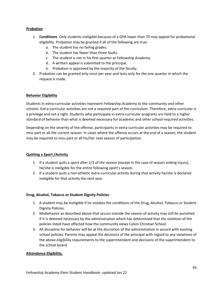### **Probation**

- 1. **Conditions**. Only students ineligible because of a GPA lower than 70 may appeal for probational eligibility. Probation may be granted if all of the following are true:
	- a. The student has no failing grades.
	- b. The student has fewer than three faults.
	- c. The student is not in his first quarter at Fellowship Academy.
	- d. A written appeal is submitted to the principal.
	- e. Probation is approved by the majority of the faculty.
- 2. Probation can be granted only once per year and lasts only for the one quarter in which the request is made.

### **Behavior Eligibility**

Students in extra-curricular activities represent Fellowship Academy to the community and other schools. Extra-curricular activities are not a required part of the curriculum. Therefore, extra-curricular is a privilege and not a right. Students who participate in extra-curricular programs are held to a higher standard of behavior than what is deemed necessary for academic and other school-required activities.

Depending on the severity of the offense, participants in extra-curricular activities may be required to miss part or all the current season. In cases where the offense occurs at the end of a season, the student may be required to miss part or all his/her next season of participation.

### **Quitting a Sport /Activity**

- 1. If a student quits a sport after 1/3 of the season (except in the case of season ending injury), he/she is ineligible for the entire following sport's season.
- 2. If a student quits a non-athletic extra-curricular activity during that activity he/she is declared ineligible for that activity the next year.

### **Drug, Alcohol, Tobacco or Student Dignity Policies**:

- 1. A student may be ineligible if he violates the conditions of the Drug, Alcohol, Tobacco or Student Dignity Policies.
- 2. Misbehavior as described above that occurs outside the season of activity may still be punished if it is deemed necessary by the administration which has determined that the violation of the policies listed have affected how the community views Calvin Christian School.
- 3. All discipline for behavior will be at the discretion of the administration in accord with existing school policies. Parents may appeal the decisions of the principal with regard to any violations of the above eligibility requirements to the superintendent and decisions of the superintendent to the school board.

#### **Attendance Eligibility.**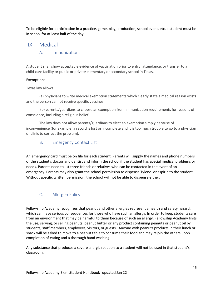To be eligible for participation in a practice, game, play, production, school event, etc. a student must be in school for at least half of the day.

# <span id="page-45-1"></span><span id="page-45-0"></span>IX. Medical

### A. Immunizations

A student shall show acceptable evidence of vaccination prior to entry, attendance, or transfer to a child-care facility or public or private elementary or secondary school in Texas.

### Exemptions

### Texas law allows

(a) physicians to write medical exemption statements which clearly state a medical reason exists and the person cannot receive specific vaccines

(b) parents/guardians to choose an exemption from immunization requirements for reasons of conscience, including a religious belief.

The law does not allow parents/guardians to elect an exemption simply because of inconvenience (for example, a record is lost or incomplete and it is too much trouble to go to a physician or clinic to correct the problem).

# <span id="page-45-2"></span>B. Emergency Contact List

An emergency card must be on file for each student. Parents will supply the names and phone numbers of the student's doctor and dentist and inform the school if the student has special medical problems or needs. Parents need to list three friends or relatives who can be contacted in the event of an emergency. Parents may also grant the school permission to dispense Tylenol or aspirin to the student. Without specific written permission, the school will not be able to dispense either.

# <span id="page-45-3"></span>C. Allergen Policy

Fellowship Academy recognizes that peanut and other allergies represent a health and safety hazard, which can have serious consequences for those who have such an allergy. In order to keep students safe from an environment that may be harmful to them because of such an allergy, Fellowship Academy linits the use, serving, or selling peanuts, peanut butter or any product containing peanuts or peanut oil by students, staff members, employees, visitors, or guests. Anyone with peanuts products in their lunch or snack will be asked to move to a peanut table to consume their food and may rejoin the others upon completion of eating and a thorough hand washing.

Any substance that produces a severe allergic reaction to a student will not be used in that student's classroom.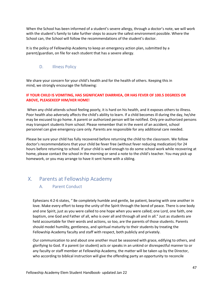When the School has been informed of a student's severe allergy, through a doctor's note, we will work with the student's family to take further steps to assure the safest environment possible. Where the School can, the School will follow the recommendations of the student's doctor.

It is the policy of Fellowship Academy to keep an emergency action plan, submitted by a parent/guardian, on file for each student that has a severe allergy.

### <span id="page-46-0"></span>D. **Illness Policy**

We share your concern for your child's health and for the health of others. Keeping this in mind, we strongly encourage the following:

### **IF YOUR CHILD IS VOMITING, HAS SIGNIFICANT DIARRHEA, OR HAS FEVER OF 100.5 DEGREES OR ABOVE, PLEASEKEEP HIM/HER HOME!**

When any child attends school feeling poorly, it is hard on his health, and it exposes others to illness. Poor health also adversely affects the child's ability to learn. If a child becomes ill during the day, he/she may be excused to go home. A parent or authorized person will be notified. Only pre-authorized persons may transport students from school. Please remember that in the event of an accident, school personnel can give emergency care only. Parents are responsible for any additional care needed.

Please be sure your child has fully recovered before returning the child to the classroom. We follow doctor's recommendations that your child be fever free (without fever reducing medication) for 24 hours before returning to school. If your child is well enough to do some school work while recovering at home, please contact the school in the morning or send a note to the child's teacher. You may pick up homework, or you may arrange to have it sent home with a sibling.

# <span id="page-46-2"></span><span id="page-46-1"></span>X. Parents at Fellowship Academy

### A. Parent Conduct

Ephesians 4:2-6 states, " Be completely humble and gentle, be patient, bearing with one another in love. Make every effort to keep the unity of the Spirit through the bond of peace. There is one body and one Spirit, just as you were called to one hope when you were called; one Lord, one faith, one baptism, one God and Father of all, who is over all and through all and in all." Just as students are held accountable for their words and actions, so too, are the parents of those students. Parents should model humility, gentleness, and spiritual maturity to their students by treating the Fellowship Academy faculty and staff with respect, both publicly and privately.

Our communication to and about one another must be seasoned with grace, edifying to others, and glorifying to God. If a parent (or student) acts or speaks in an unkind or disrespectful manner to or any faculty or staff member at Fellowship Academy, the matter will be taken up by the Director, who according to biblical instruction will give the offending party an opportunity to reconcile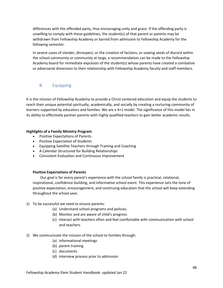differences with the offended party, thus encouraging unity and grace. If the offending party is unwilling to comply with these guidelines, the student(s) of that parent or parents may be withdrawn from Fellowship Academy or barred from admission to Fellowship Academy for the following semester.

In severe cases of slander, disrespect, or the creation of factions, or sowing seeds of discord within the school community or community at large, a recommendation can be made to the Fellowship Academy board for immediate expulsion of the student(s) whose parents have created a combative or adversarial dimension to their relationship with Fellowship Academy faculty and staff members.

### <span id="page-47-0"></span>B. Equipping

It is the mission of Fellowship Academy to provide a Christ centered education and equip the students to reach their unique potential spiritually, academically, and socially by creating a nurturing community of learners supported by educators and families. We are a 4+1 model. The significance of this model lies in its ability to effectively partner parents with highly qualified teachers to gain better academic results.

### **Highlights of a Family Ministry Program**

- Positive Expectations of Parents
- Positive Expectation of Students
- Equipping Satellite Teachers through Training and Coaching
- A Calendar Structured for Building Relationships
- Consistent Evaluation and Continuous Improvement

### **Positive Expectations of Parents**

Our goal is for every parent's experience with the school family is practical, relational, inspirational, confidence-building, and informative school event. This experience sets the tone of positive expectation, encouragement, and continuing education that the school will keep extending throughout the school year.

- 1) To be successful we need to ensure parents:
	- (a) Understand school programs and policies.
	- (b) Monitor and are aware of child's progress
	- (c) Interact with teachers often and feel comfortable with communication with school and teachers.
- 2) We communicate the mission of the school to families through:
	- (a) informational meetings
	- (b) parent training
	- (c) documents
	- (d) interview process prior to admission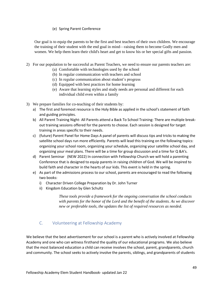### (e) Spring Parent Conference

Our goal is to equip the parents to be the first and best teachers of their own children. We encourage the training of their student with the end goal in mind—raising them to become Godly men and women. We help them learn their child's heart and get to know his or her special gifts and passion.

- 2) For our population to be successful as Parent Teachers, we need to ensure our parents teachers are:
	- (a) Comfortable with technologies used by the school
	- (b) In regular communication with teachers and school
	- (c) In regular communication about student's progress
	- (d) Equipped with best practices for home learning
	- (e) Aware that learning styles and study needs are personal and different for each individual child even within a family
- 3) We prepare families for co-teaching of their students by:
	- a) The first and foremost resource is the Holy Bible as applied in the school's statement of faith and guiding principles.
	- b) All Parent Training Night- All Parents attend a Back To School Training: There are multiple breakout training sessions offered for the parents to choose. Each session is designed for target training in areas specific to their needs.
	- c) (future) Parent Panel for Home Days A panel of parents will discuss tips and tricks to making the satellite school days run more efficiently. Parents will lead this training on the following topics: organizing your school room, organizing your schedule, organizing your satellite school day, and organizing your meal plans. There will be a time for group discussion and a time for Q &A's.
	- d) Parent Seminar (NEW 2022) In connection with Fellowship Church we will hold a parenting Conference that is designed to equip parents in raising children of God. We will be inspired to build faith and character in the hearts of our kids. This event is held in the spring.
	- e) As part of the admissions process to our school, parents are encouraged to read the following two books:
		- i) Character Driven College Preparation by Dr. John Turner
		- ii) Kingdom Education by Glen Schultz

*These tools provide a framework for the ongoing conversation the school conducts with parents for the honor of the Lord and the benefit of the students. As we discover new or preferable tools, the updates the list of required resources as needed.*

# <span id="page-48-0"></span>C. Volunteering at Fellowship Academy

We believe that the best advertisement for our school is a parent who is actively involved at Fellowship Academy and one who can witness firsthand the quality of our educational programs. We also believe that the most balanced education a child can receive involves the school, parent, grandparents, church and community. The school seeks to actively involve the parents, siblings, and grandparents of students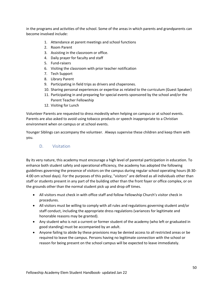in the programs and activities of the school. Some of the areas in which parents and grandparents can become involved include:

- 1. Attendance at parent meetings and school functions
- 2. Room Parent
- 3. Assisting in the classroom or office.
- 4. Daily prayer for faculty and staff
- 5. Fund-raisers
- 6. Visiting the classroom with prior teacher notification
- 7. Tech Support
- 8. Library Parent
- 9. Participating in field trips as drivers and chaperones.
- 10. Sharing personal experiences or expertise as related to the curriculum (Guest Speaker)
- 11. Participating in and preparing for special events sponsored by the school and/or the Parent Teacher Fellowship
- 12. Visiting for Lunch

Volunteer Parents are requested to dress modestly when helping on campus or at school events. Parents are also asked to avoid using tobacco products or speech inappropriate to a Christian environment when on campus or at school events.

<span id="page-49-0"></span>Younger Siblings can accompany the volunteer. Always supervise these children and keep them with you.

### D. Visitation

By its very nature, this academy must encourage a high level of parental participation in education. To enhance both student safety and operational efficiency, the academy has adopted the following guidelines governing the presence of visitors on the campus during regular school operating hours (8:30- 4:00 om school days). For the purposes of this policy, "visitors" are defined as all individuals other than staff or students present in any part of the building other than the front foyer or office complex, or on the grounds other than the normal student pick up and drop off times.

- All visitors must check in with office staff and follow Fellowship Church's visitor check in procedures.
- All visitors must be willing to comply with all rules and regulations governing student and/or staff conduct, including the appropriate dress regulations (variances for legitimate and honorable reasons may be granted).
- Any student who is not a current or former student of the academy (who left or graduated in good standing) must be accompanied by an adult.
- Anyone failing to abide by these provisions may be denied access to all restricted areas or be required to leave the campus. Persons having no legitimate connection with the school or reason for being present on the school campus will be expected to leave immediately.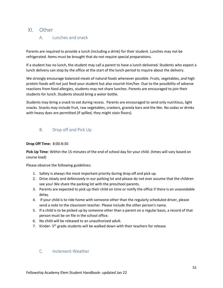# <span id="page-50-1"></span><span id="page-50-0"></span>XI. Other

# A. Lunches and snack

Parents are required to provide a lunch (including a drink) for their student. Lunches may not be refrigerated. Items must be brought that do not require special preparations.

If a student has no lunch, the student may call a parent to have a lunch delivered. Students who expect a lunch delivery can stop by the office at the start of the lunch period to inquire about the delivery.

We strongly encourage balanced meals of natural foods whenever possible. Fruits, vegetables, and high protein foods will not just feed your student but also nourish him/her. Due to the possibility of adverse reactions from food allergies, students may not share lunches. Parents are encouraged to join their students for lunch. Students should bring a water bottle.

Students may bring a snack to eat during recess. Parents are encouraged to send only nutritious, light snacks. Snacks may include fruit, raw vegetables, crackers, granola bars and the like. No sodas or drinks with heavy dyes are permitted (if spilled, they might stain floors).

# <span id="page-50-2"></span>B. Drop off and Pick Up

### **Drop Off Time:** 8:00-8:30

**Pick Up Time**: Within the 15 minutes of the end of school day for your child. (times will vary based on course load)

Please observe the following guidelines:

- 1. Safety is always the most important priority during drop off and pick up.
- 2. Drive slowly and defensively in our parking lot and please do not ever assume that the children see you! We share the parking lot with the preschool parents.
- 3. Parents are expected to pick up their child on time or notify the office if there is an unavoidable delay.
- 4. If your child is to ride home with someone other than the regularly scheduled driver, please send a note to the classroom teacher. Please include the other person's name.
- 5. If a child is to be picked up by someone other than a parent on a regular basis, a record of that person must be on file in the school office.
- 6. No child will be released to an unauthorized adult.
- 7. Kinder- 5<sup>th</sup> grade students will be walked down with their teachers for release.

# <span id="page-50-3"></span>C. Inclement Weather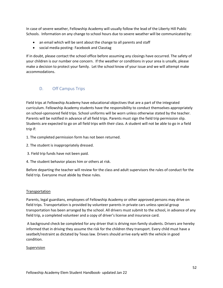In case of severe weather, Fellowship Academy will usually follow the lead of the Liberty Hill Public Schools. Information on any change to school hours due to severe weather will be communicated by:

- an email which will be sent about the change to all parents and staff
- social media posting- Facebook and Classtag

If in doubt, please contact the school office before assuming any closings have occurred. The safety of your children is our number one concern. If the weather or conditions in your area is unsafe, please make a decision to protect your family. Let the school know of your issue and we will attempt make accommodations.

# <span id="page-51-0"></span>D. Off Campus Trips

Field trips at Fellowship Academy have educational objectives that are a part of the integrated curriculum. Fellowship Academy students have the responsibility to conduct themselves appropriately on school-sponsored field trips. School uniforms will be worn unless otherwise stated by the teacher. Parents will be notified in advance of all field trips. Parents must sign the field trip permission slip. Students are expected to go on all field trips with their class. A student will not be able to go in a field trip if:

- 1. The completed permission form has not been returned.
- 2. The student is inappropriately dressed.
- 3. Field trip funds have not been paid.
- 4. The student behavior places him or others at risk.

Before departing the teacher will review for the class and adult supervisors the rules of conduct for the field trip. Everyone must abide by these rules.

### **Transportation**

Parents, legal guardians, employees of Fellowship Academy or other approved persons may drive on field trips. Transportation is provided by volunteer parents in private cars unless special group transportation has been arranged by the school. All drivers must submit to the school, in advance of any field trip, a completed volunteer and a copy of driver's license and insurance card.

A background check be completed for any driver that is driving non-family students. Drivers are hereby informed that in driving they assume the risk for the children they transport. Every child must have a seatbelt/restraint as dictated by Texas law. Drivers should arrive early with the vehicle in good condition.

### Supervision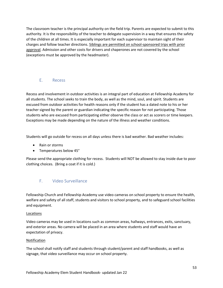The classroom teacher is the principal authority on the field trip. Parents are expected to submit to this authority. It is the responsibility of the teacher to delegate supervision in a way that ensures the safety of the children at all times. It is especially important for each supervisor to maintain sight of their charges and follow teacher directions. Siblings are permitted on school-sponsored trips with prior approval. Admission and other costs for drivers and chaperones are not covered by the school (exceptions must be approved by the headmaster).

### <span id="page-52-0"></span>E. Recess

Recess and involvement in outdoor activities is an integral part of education at Fellowship Academy for all students. The school seeks to train the body, as well as the mind, soul, and spirit. Students are excused from outdoor activities for health reasons only if the student has a dated note to his or her teacher signed by the parent or guardian indicating the specific reason for not participating. Those students who are excused from participating either observe the class or act as scorers or time keepers. Exceptions may be made depending on the nature of the illness and weather conditions.

Students will go outside for recess on all days unless there is bad weather. Bad weather includes:

- Rain or storms
- Temperatures below 45°

Please send the appropriate clothing for recess. Students will NOT be allowed to stay inside due to poor clothing choices. (Bring a coat if it is cold.)

# <span id="page-52-1"></span>F. Video Surveillance

Fellowship Church and Fellowship Academy use video cameras on school property to ensure the health, welfare and safety of all staff, students and visitors to school property, and to safeguard school facilities and equipment.

### **Locations**

Video cameras may be used in locations such as common areas, hallways, entrances, exits, sanctuary, and exterior areas. No camera will be placed in an area where students and staff would have an expectation of privacy.

### Notification

The school shall notify staff and students through student/parent and staff handbooks, as well as signage, that video surveillance may occur on school property.